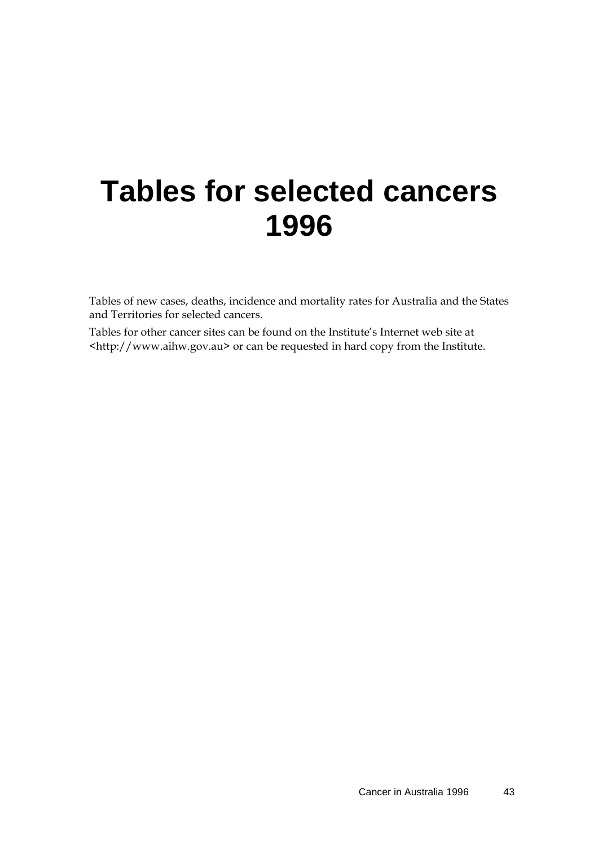# **Tables for selected cancers 1996**

Tables of new cases, deaths, incidence and mortality rates for Australia and the States and Territories for selected cancers.

Tables for other cancer sites can be found on the Institute's Internet web site at [<http://www.aihw.gov.au>](http://www.aihw.gov.au/) or can be requested in hard copy from the Institute.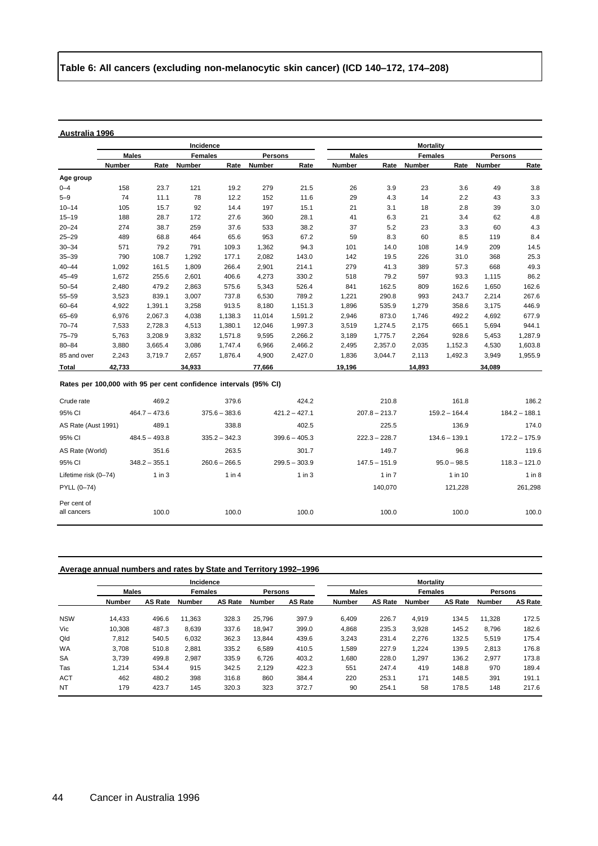|                                                                  |              |         | Incidence      |         |                |         | <b>Mortality</b> |         |                |         |         |         |
|------------------------------------------------------------------|--------------|---------|----------------|---------|----------------|---------|------------------|---------|----------------|---------|---------|---------|
|                                                                  | <b>Males</b> |         | <b>Females</b> |         | <b>Persons</b> |         | <b>Males</b>     |         | <b>Females</b> |         | Persons |         |
|                                                                  | Number       | Rate    | <b>Number</b>  | Rate    | Number         | Rate    | <b>Number</b>    | Rate    | Number         | Rate    | Number  | Rate    |
| Age group                                                        |              |         |                |         |                |         |                  |         |                |         |         |         |
| $0 - 4$                                                          | 158          | 23.7    | 121            | 19.2    | 279            | 21.5    | 26               | 3.9     | 23             | 3.6     | 49      | 3.8     |
| $5 - 9$                                                          | 74           | 11.1    | 78             | 12.2    | 152            | 11.6    | 29               | 4.3     | 14             | 2.2     | 43      | 3.3     |
| $10 - 14$                                                        | 105          | 15.7    | 92             | 14.4    | 197            | 15.1    | 21               | 3.1     | 18             | 2.8     | 39      | 3.0     |
| $15 - 19$                                                        | 188          | 28.7    | 172            | 27.6    | 360            | 28.1    | 41               | 6.3     | 21             | 3.4     | 62      | 4.8     |
| $20 - 24$                                                        | 274          | 38.7    | 259            | 37.6    | 533            | 38.2    | 37               | 5.2     | 23             | 3.3     | 60      | 4.3     |
| $25 - 29$                                                        | 489          | 68.8    | 464            | 65.6    | 953            | 67.2    | 59               | 8.3     | 60             | 8.5     | 119     | 8.4     |
| $30 - 34$                                                        | 571          | 79.2    | 791            | 109.3   | 1,362          | 94.3    | 101              | 14.0    | 108            | 14.9    | 209     | 14.5    |
| $35 - 39$                                                        | 790          | 108.7   | 1,292          | 177.1   | 2,082          | 143.0   | 142              | 19.5    | 226            | 31.0    | 368     | 25.3    |
| $40 - 44$                                                        | 1,092        | 161.5   | 1,809          | 266.4   | 2,901          | 214.1   | 279              | 41.3    | 389            | 57.3    | 668     | 49.3    |
| $45 - 49$                                                        | 1.672        | 255.6   | 2,601          | 406.6   | 4,273          | 330.2   | 518              | 79.2    | 597            | 93.3    | 1,115   | 86.2    |
| $50 - 54$                                                        | 2,480        | 479.2   | 2,863          | 575.6   | 5,343          | 526.4   | 841              | 162.5   | 809            | 162.6   | 1,650   | 162.6   |
| 55-59                                                            | 3,523        | 839.1   | 3,007          | 737.8   | 6,530          | 789.2   | 1,221            | 290.8   | 993            | 243.7   | 2,214   | 267.6   |
| $60 - 64$                                                        | 4,922        | 1,391.1 | 3,258          | 913.5   | 8,180          | 1,151.3 | 1,896            | 535.9   | 1,279          | 358.6   | 3,175   | 446.9   |
| 65-69                                                            | 6,976        | 2.067.3 | 4.038          | 1,138.3 | 11.014         | 1.591.2 | 2,946            | 873.0   | 1.746          | 492.2   | 4,692   | 677.9   |
| $70 - 74$                                                        | 7,533        | 2,728.3 | 4,513          | 1,380.1 | 12,046         | 1,997.3 | 3,519            | 1,274.5 | 2,175          | 665.1   | 5,694   | 944.1   |
| $75 - 79$                                                        | 5,763        | 3,208.9 | 3,832          | 1,571.8 | 9,595          | 2,266.2 | 3,189            | 1,775.7 | 2,264          | 928.6   | 5,453   | 1,287.9 |
| $80 - 84$                                                        | 3.880        | 3,665.4 | 3,086          | 1,747.4 | 6.966          | 2,466.2 | 2,495            | 2,357.0 | 2,035          | 1,152.3 | 4,530   | 1,603.8 |
| 85 and over                                                      | 2,243        | 3,719.7 | 2,657          | 1,876.4 | 4,900          | 2,427.0 | 1,836            | 3,044.7 | 2,113          | 1,492.3 | 3,949   | 1,955.9 |
| Total                                                            | 42,733       |         | 34,933         |         | 77,666         |         | 19,196           |         | 14,893         |         | 34,089  |         |
| Rates per 100.000 with Q5 per cent confidence intervals (Q5% CI) |              |         |                |         |                |         |                  |         |                |         |         |         |

#### **Rates per 100,000 with 95 per cent confidence intervals (95% CI)**

| Crude rate           | 469.2           | 379.6           | 424.2           | 210.8           | 161.8           | 186.2           |
|----------------------|-----------------|-----------------|-----------------|-----------------|-----------------|-----------------|
| 95% CI               | $464.7 - 473.6$ | $375.6 - 383.6$ | $421.2 - 427.1$ | $207.8 - 213.7$ | $159.2 - 164.4$ | $184.2 - 188.1$ |
| AS Rate (Aust 1991)  | 489.1           | 338.8           | 402.5           | 225.5           | 136.9           | 174.0           |
| 95% CI               | $484.5 - 493.8$ | $335.2 - 342.3$ | $399.6 - 405.3$ | $222.3 - 228.7$ | $134.6 - 139.1$ | $172.2 - 175.9$ |
| AS Rate (World)      | 351.6           | 263.5           | 301.7           | 149.7           | 96.8            | 119.6           |
| 95% CI               | $348.2 - 355.1$ | $260.6 - 266.5$ | $299.5 - 303.9$ | $147.5 - 151.9$ | $95.0 - 98.5$   | $118.3 - 121.0$ |
| Lifetime risk (0-74) | $1$ in $3$      | 1 in 4          | $1$ in $3$      | $1$ in $7$      | 1 in 10         | 1 in 8          |
| PYLL (0-74)          |                 |                 |                 | 140.070         | 121,228         | 261,298         |
| Per cent of          |                 |                 |                 |                 |                 |                 |
| all cancers          | 100.0           | 100.0           | 100.0           | 100.0           | 100.0           | 100.0           |

# **Average annual numbers and rates by State and Territory 1992–1996**

|            |               |                | Incidence      |                |               |                | <b>Mortality</b> |                |                |                |         |                |
|------------|---------------|----------------|----------------|----------------|---------------|----------------|------------------|----------------|----------------|----------------|---------|----------------|
|            | <b>Males</b>  |                | <b>Females</b> |                |               | Persons        |                  | <b>Males</b>   | <b>Females</b> |                | Persons |                |
|            | <b>Number</b> | <b>AS Rate</b> | Number         | <b>AS Rate</b> | <b>Number</b> | <b>AS Rate</b> | Number           | <b>AS Rate</b> | Number         | <b>AS Rate</b> | Number  | <b>AS Rate</b> |
| <b>NSW</b> | 14.433        | 496.6          | 11.363         | 328.3          | 25.796        | 397.9          | 6.409            | 226.7          | 4.919          | 134.5          | 11.328  | 172.5          |
| Vic        | 10.308        | 487.3          | 8,639          | 337.6          | 18.947        | 399.0          | 4,868            | 235.3          | 3,928          | 145.2          | 8.796   | 182.6          |
| Qld        | 7.812         | 540.5          | 6,032          | 362.3          | 13.844        | 439.6          | 3,243            | 231.4          | 2.276          | 132.5          | 5,519   | 175.4          |
| <b>WA</b>  | 3.708         | 510.8          | 2,881          | 335.2          | 6.589         | 410.5          | 1,589            | 227.9          | 1.224          | 139.5          | 2,813   | 176.8          |
| <b>SA</b>  | 3.739         | 499.8          | 2,987          | 335.9          | 6.726         | 403.2          | 1,680            | 228.0          | 1.297          | 136.2          | 2.977   | 173.8          |
| Tas        | 1.214         | 534.4          | 915            | 342.5          | 2.129         | 422.3          | 551              | 247.4          | 419            | 148.8          | 970     | 189.4          |
| <b>ACT</b> | 462           | 480.2          | 398            | 316.8          | 860           | 384.4          | 220              | 253.1          | 171            | 148.5          | 391     | 191.1          |
| <b>NT</b>  | 179           | 423.7          | 145            | 320.3          | 323           | 372.7          | 90               | 254.1          | 58             | 178.5          | 148     | 217.6          |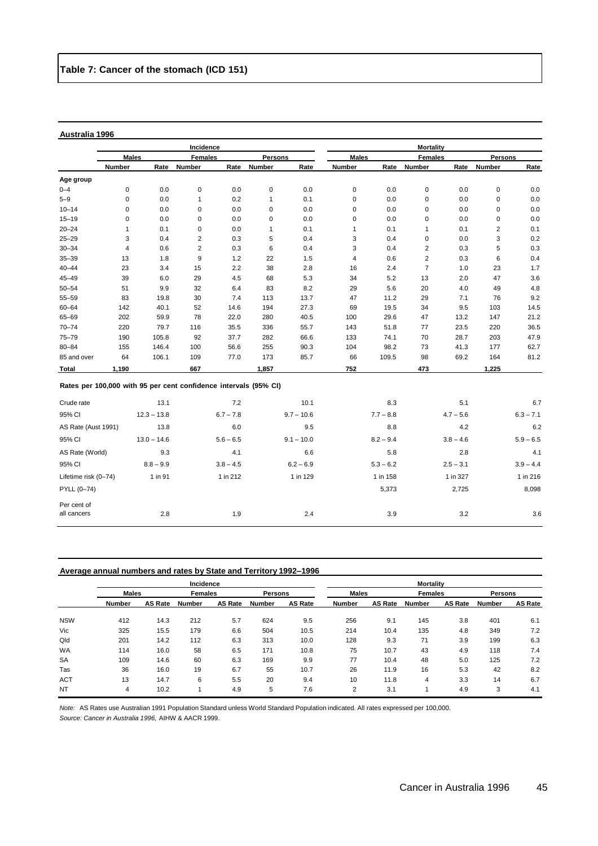Per cent of<br>all cancers

|                                                                  |              |               | Incidence      |             |                |              | <b>Mortality</b> |             |                |             |                |             |
|------------------------------------------------------------------|--------------|---------------|----------------|-------------|----------------|--------------|------------------|-------------|----------------|-------------|----------------|-------------|
|                                                                  | <b>Males</b> |               | <b>Females</b> |             | <b>Persons</b> |              | <b>Males</b>     |             | <b>Females</b> |             | <b>Persons</b> |             |
|                                                                  | Number       | Rate          | Number         | Rate        | Number         | Rate         | Number           | Rate        | Number         | Rate        | Number         | Rate        |
| Age group                                                        |              |               |                |             |                |              |                  |             |                |             |                |             |
| $0 - 4$                                                          | 0            | 0.0           | $\pmb{0}$      | 0.0         | $\mathbf 0$    | 0.0          | $\pmb{0}$        | 0.0         | $\pmb{0}$      | 0.0         | $\mathsf 0$    | 0.0         |
| $5 - 9$                                                          | 0            | 0.0           | 1              | 0.2         | $\mathbf{1}$   | 0.1          | $\pmb{0}$        | 0.0         | 0              | 0.0         | 0              | 0.0         |
| $10 - 14$                                                        | 0            | 0.0           | $\mathbf 0$    | 0.0         | $\mathbf 0$    | 0.0          | $\pmb{0}$        | 0.0         | 0              | 0.0         | 0              | 0.0         |
| $15 - 19$                                                        | 0            | 0.0           | 0              | 0.0         | $\mathbf 0$    | 0.0          | $\pmb{0}$        | 0.0         | 0              | 0.0         | $\mathbf 0$    | 0.0         |
| $20 - 24$                                                        | 1            | 0.1           | 0              | 0.0         | $\mathbf{1}$   | 0.1          | $\mathbf{1}$     | 0.1         | $\mathbf{1}$   | 0.1         | 2              | 0.1         |
| $25 - 29$                                                        | 3            | 0.4           | $\overline{2}$ | 0.3         | 5              | 0.4          | 3                | 0.4         | $\pmb{0}$      | 0.0         | 3              | 0.2         |
| $30 - 34$                                                        | 4            | 0.6           | 2              | 0.3         | 6              | 0.4          | 3                | 0.4         | 2              | 0.3         | 5              | 0.3         |
| $35 - 39$                                                        | 13           | 1.8           | 9              | 1.2         | 22             | 1.5          | 4                | 0.6         | 2              | 0.3         | 6              | 0.4         |
| $40 - 44$                                                        | 23           | 3.4           | 15             | 2.2         | 38             | 2.8          | 16               | 2.4         | $\overline{7}$ | 1.0         | 23             | 1.7         |
| $45 - 49$                                                        | 39           | 6.0           | 29             | 4.5         | 68             | 5.3          | 34               | 5.2         | 13             | 2.0         | 47             | 3.6         |
| $50 - 54$                                                        | 51           | 9.9           | 32             | 6.4         | 83             | 8.2          | 29               | 5.6         | 20             | 4.0         | 49             | 4.8         |
| 55-59                                                            | 83           | 19.8          | 30             | 7.4         | 113            | 13.7         | 47               | 11.2        | 29             | 7.1         | 76             | 9.2         |
| $60 - 64$                                                        | 142          | 40.1          | 52             | 14.6        | 194            | 27.3         | 69               | 19.5        | 34             | 9.5         | 103            | 14.5        |
| 65-69                                                            | 202          | 59.9          | 78             | 22.0        | 280            | 40.5         | 100              | 29.6        | 47             | 13.2        | 147            | 21.2        |
| $70 - 74$                                                        | 220          | 79.7          | 116            | 35.5        | 336            | 55.7         | 143              | 51.8        | 77             | 23.5        | 220            | 36.5        |
| $75 - 79$                                                        | 190          | 105.8         | 92             | 37.7        | 282            | 66.6         | 133              | 74.1        | 70             | 28.7        | 203            | 47.9        |
| $80 - 84$                                                        | 155          | 146.4         | 100            | 56.6        | 255            | 90.3         | 104              | 98.2        | 73             | 41.3        | 177            | 62.7        |
| 85 and over                                                      | 64           | 106.1         | 109            | 77.0        | 173            | 85.7         | 66               | 109.5       | 98             | 69.2        | 164            | 81.2        |
| Total                                                            | 1,190        |               | 667            |             | 1,857          |              | 752              |             | 473            |             | 1,225          |             |
| Rates per 100,000 with 95 per cent confidence intervals (95% CI) |              |               |                |             |                |              |                  |             |                |             |                |             |
| Crude rate                                                       |              | 13.1          |                | 7.2         |                | 10.1         |                  | 8.3         |                | 5.1         |                | 6.7         |
| 95% CI                                                           |              | $12.3 - 13.8$ |                | $6.7 - 7.8$ |                | $9.7 - 10.6$ |                  | $7.7 - 8.8$ |                | $4.7 - 5.6$ |                | $6.3 - 7.1$ |
| AS Rate (Aust 1991)                                              |              | 13.8          |                | 6.0         |                | 9.5          |                  | 8.8         |                | 4.2         |                | 6.2         |
| 95% CI                                                           |              | $13.0 - 14.6$ |                | $5.6 - 6.5$ |                | $9.1 - 10.0$ |                  | $8.2 - 9.4$ |                | $3.8 - 4.6$ |                | $5.9 - 6.5$ |
| AS Rate (World)                                                  |              | 9.3           |                | 4.1         |                | 6.6          |                  | 5.8         |                | 2.8         |                | 4.1         |
| 95% CI                                                           |              | $8.8 - 9.9$   |                | $3.8 - 4.5$ |                | $6.2 - 6.9$  |                  | $5.3 - 6.2$ |                | $2.5 - 3.1$ |                | $3.9 - 4.4$ |
| Lifetime risk (0-74)                                             |              | 1 in 91       |                | 1 in 212    |                | 1 in 129     |                  | 1 in 158    |                | 1 in 327    |                | 1 in 216    |
| PYLL (0-74)                                                      |              |               |                |             |                |              |                  | 5,373       |                | 2,725       |                | 8,098       |

# **Average annual numbers and rates by State and Territory 1992–1996**

|            |               |                | Incidence      |                |         |                | <b>Mortality</b> |                |                |                |                |                |
|------------|---------------|----------------|----------------|----------------|---------|----------------|------------------|----------------|----------------|----------------|----------------|----------------|
|            | <b>Males</b>  |                | <b>Females</b> |                | Persons |                | <b>Males</b>     |                | <b>Females</b> |                | <b>Persons</b> |                |
|            | <b>Number</b> | <b>AS Rate</b> | <b>Number</b>  | <b>AS Rate</b> | Number  | <b>AS Rate</b> | <b>Number</b>    | <b>AS Rate</b> | <b>Number</b>  | <b>AS Rate</b> | Number         | <b>AS Rate</b> |
| <b>NSW</b> | 412           | 14.3           | 212            | 5.7            | 624     | 9.5            | 256              | 9.1            | 145            | 3.8            | 401            | 6.1            |
| Vic        | 325           | 15.5           | 179            | 6.6            | 504     | 10.5           | 214              | 10.4           | 135            | 4.8            | 349            | 7.2            |
| Qld        | 201           | 14.2           | 112            | 6.3            | 313     | 10.0           | 128              | 9.3            | 71             | 3.9            | 199            | 6.3            |
| <b>WA</b>  | 114           | 16.0           | 58             | 6.5            | 171     | 10.8           | 75               | 10.7           | 43             | 4.9            | 118            | 7.4            |
| <b>SA</b>  | 109           | 14.6           | 60             | 6.3            | 169     | 9.9            | 77               | 10.4           | 48             | 5.0            | 125            | 7.2            |
| Tas        | 36            | 16.0           | 19             | 6.7            | 55      | 10.7           | 26               | 11.9           | 16             | 5.3            | 42             | 8.2            |
| <b>ACT</b> | 13            | 14.7           | 6              | 5.5            | 20      | 9.4            | 10               | 11.8           | 4              | 3.3            | 14             | 6.7            |
| <b>NT</b>  | 4             | 10.2           |                | 4.9            | 5       | 7.6            | 2                | 3.1            |                | 4.9            | 3              | 4.1            |

all cancers 2.8 2.8 1.9 2.4 3.9 3.2 3.2 3.6

*Note:* AS Rates use Australian 1991 Population Standard unless World Standard Population indicated. All rates expressed per 100,000. *Source: Cancer in Australia 1996,* AIHW & AACR 1999.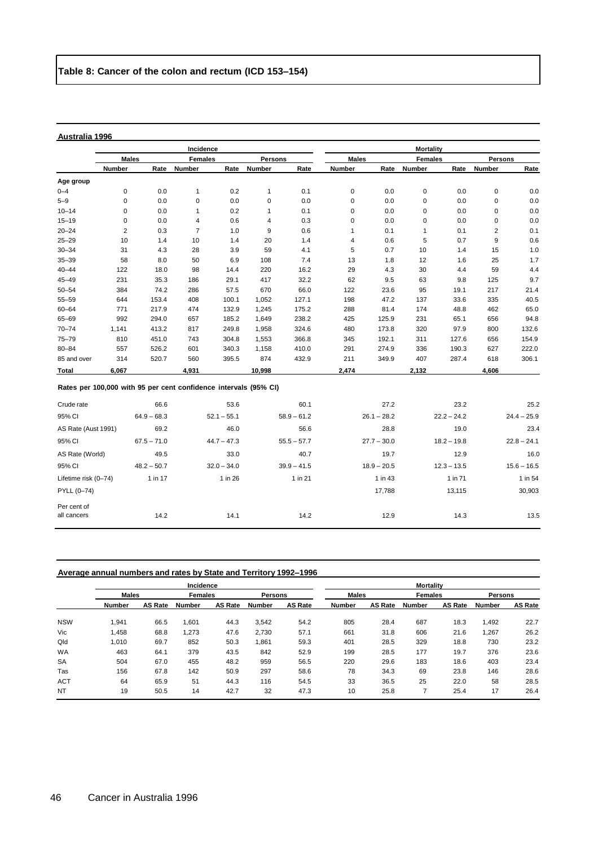|                                                                  |                |               | Incidence      |               |              |               | <b>Mortality</b> |               |                |               |                |               |
|------------------------------------------------------------------|----------------|---------------|----------------|---------------|--------------|---------------|------------------|---------------|----------------|---------------|----------------|---------------|
|                                                                  |                | <b>Males</b>  | <b>Females</b> |               | Persons      |               | <b>Males</b>     |               | <b>Females</b> |               | Persons        |               |
|                                                                  | Number         | Rate          | <b>Number</b>  | Rate          | Number       | Rate          | <b>Number</b>    | Rate          | <b>Number</b>  | Rate          | Number         | Rate          |
| Age group                                                        |                |               |                |               |              |               |                  |               |                |               |                |               |
| $0 - 4$                                                          | 0              | 0.0           | $\mathbf{1}$   | 0.2           | $\mathbf{1}$ | 0.1           | 0                | 0.0           | $\mathbf 0$    | 0.0           | $\pmb{0}$      | 0.0           |
| $5 - 9$                                                          | 0              | 0.0           | 0              | 0.0           | $\mathsf 0$  | 0.0           | 0                | 0.0           | $\pmb{0}$      | 0.0           | $\pmb{0}$      | 0.0           |
| $10 - 14$                                                        | 0              | 0.0           | $\mathbf{1}$   | 0.2           | $\mathbf{1}$ | 0.1           | 0                | 0.0           | 0              | 0.0           | 0              | 0.0           |
| $15 - 19$                                                        | 0              | 0.0           | 4              | 0.6           | 4            | 0.3           | $\mathbf 0$      | 0.0           | 0              | 0.0           | $\pmb{0}$      | 0.0           |
| $20 - 24$                                                        | $\overline{2}$ | 0.3           | $\overline{7}$ | 1.0           | 9            | 0.6           | $\mathbf{1}$     | 0.1           | $\mathbf 1$    | 0.1           | $\overline{2}$ | 0.1           |
| $25 - 29$                                                        | 10             | 1.4           | 10             | 1.4           | 20           | 1.4           | 4                | 0.6           | 5              | 0.7           | 9              | 0.6           |
| $30 - 34$                                                        | 31             | 4.3           | 28             | 3.9           | 59           | 4.1           | 5                | 0.7           | 10             | 1.4           | 15             | 1.0           |
| $35 - 39$                                                        | 58             | 8.0           | 50             | 6.9           | 108          | 7.4           | 13               | 1.8           | 12             | 1.6           | 25             | 1.7           |
| $40 - 44$                                                        | 122            | 18.0          | 98             | 14.4          | 220          | 16.2          | 29               | 4.3           | 30             | 4.4           | 59             | 4.4           |
| $45 - 49$                                                        | 231            | 35.3          | 186            | 29.1          | 417          | 32.2          | 62               | 9.5           | 63             | 9.8           | 125            | 9.7           |
| $50 - 54$                                                        | 384            | 74.2          | 286            | 57.5          | 670          | 66.0          | 122              | 23.6          | 95             | 19.1          | 217            | 21.4          |
| $55 - 59$                                                        | 644            | 153.4         | 408            | 100.1         | 1,052        | 127.1         | 198              | 47.2          | 137            | 33.6          | 335            | 40.5          |
| $60 - 64$                                                        | 771            | 217.9         | 474            | 132.9         | 1,245        | 175.2         | 288              | 81.4          | 174            | 48.8          | 462            | 65.0          |
| 65-69                                                            | 992            | 294.0         | 657            | 185.2         | 1,649        | 238.2         | 425              | 125.9         | 231            | 65.1          | 656            | 94.8          |
| $70 - 74$                                                        | 1,141          | 413.2         | 817            | 249.8         | 1,958        | 324.6         | 480              | 173.8         | 320            | 97.9          | 800            | 132.6         |
| $75 - 79$                                                        | 810            | 451.0         | 743            | 304.8         | 1,553        | 366.8         | 345              | 192.1         | 311            | 127.6         | 656            | 154.9         |
| $80 - 84$                                                        | 557            | 526.2         | 601            | 340.3         | 1,158        | 410.0         | 291              | 274.9         | 336            | 190.3         | 627            | 222.0         |
| 85 and over                                                      | 314            | 520.7         | 560            | 395.5         | 874          | 432.9         | 211              | 349.9         | 407            | 287.4         | 618            | 306.1         |
| Total                                                            | 6,067          |               | 4,931          |               | 10,998       |               | 2,474            |               | 2,132          |               | 4.606          |               |
| Rates per 100,000 with 95 per cent confidence intervals (95% CI) |                |               |                |               |              |               |                  |               |                |               |                |               |
| Crude rate                                                       |                | 66.6          |                | 53.6          |              | 60.1          |                  | 27.2          |                | 23.2          |                | 25.2          |
| 95% CI                                                           |                | $64.9 - 68.3$ |                | $52.1 - 55.1$ |              | $58.9 - 61.2$ |                  | $26.1 - 28.2$ |                | $22.2 - 24.2$ |                | $24.4 - 25.9$ |
| AS Rate (Aust 1991)                                              |                | 69.2          |                | 46.0          |              | 56.6          |                  | 28.8          |                | 19.0          |                | 23.4          |
| 95% CI                                                           |                | $67.5 - 71.0$ |                | $44.7 - 47.3$ |              | $55.5 - 57.7$ |                  | $27.7 - 30.0$ |                | $18.2 - 19.8$ |                | $22.8 - 24.1$ |
| AS Rate (World)                                                  |                | 49.5          |                | 33.0          |              | 40.7          |                  | 19.7          |                | 12.9          |                | 16.0          |
| 95% CI                                                           |                | $48.2 - 50.7$ |                | $32.0 - 34.0$ |              | $39.9 - 41.5$ |                  | $18.9 - 20.5$ |                | $12.3 - 13.5$ |                | $15.6 - 16.5$ |
| Lifetime risk (0-74)                                             |                | 1 in 17       |                | 1 in 26       |              | 1 in 21       |                  | 1 in 43       |                | 1 in 71       |                | 1 in 54       |

| Per cent of<br>. <del>. .</del><br>all cancers | 14.2 | 14.1 | 14.2 | 12.9 | 14.3 | 13.5 |
|------------------------------------------------|------|------|------|------|------|------|
|                                                |      |      |      |      |      |      |

| Average annual numbers and rates by State and Territory 1992–1996 |  |  |  |
|-------------------------------------------------------------------|--|--|--|
|                                                                   |  |  |  |

|            |               |         | Incidence      |         |                |                | <b>Mortality</b> |         |                |                |                |                |
|------------|---------------|---------|----------------|---------|----------------|----------------|------------------|---------|----------------|----------------|----------------|----------------|
|            | <b>Males</b>  |         | <b>Females</b> |         | <b>Persons</b> |                | <b>Males</b>     |         | <b>Females</b> |                | <b>Persons</b> |                |
|            | <b>Number</b> | AS Rate | <b>Number</b>  | AS Rate | <b>Number</b>  | <b>AS Rate</b> | Number           | AS Rate | <b>Number</b>  | <b>AS Rate</b> | <b>Number</b>  | <b>AS Rate</b> |
| <b>NSW</b> | 1.941         | 66.5    | 1,601          | 44.3    | 3.542          | 54.2           | 805              | 28.4    | 687            | 18.3           | 1,492          | 22.7           |
| Vic        | 1,458         | 68.8    | 1,273          | 47.6    | 2,730          | 57.1           | 661              | 31.8    | 606            | 21.6           | 1,267          | 26.2           |
| Qld        | 1.010         | 69.7    | 852            | 50.3    | 1,861          | 59.3           | 401              | 28.5    | 329            | 18.8           | 730            | 23.2           |
| <b>WA</b>  | 463           | 64.1    | 379            | 43.5    | 842            | 52.9           | 199              | 28.5    | 177            | 19.7           | 376            | 23.6           |
| <b>SA</b>  | 504           | 67.0    | 455            | 48.2    | 959            | 56.5           | 220              | 29.6    | 183            | 18.6           | 403            | 23.4           |
| Tas        | 156           | 67.8    | 142            | 50.9    | 297            | 58.6           | 78               | 34.3    | 69             | 23.8           | 146            | 28.6           |
| <b>ACT</b> | 64            | 65.9    | 51             | 44.3    | 116            | 54.5           | 33               | 36.5    | 25             | 22.0           | 58             | 28.5           |
| <b>NT</b>  | 19            | 50.5    | 14             | 42.7    | 32             | 47.3           | 10               | 25.8    |                | 25.4           | 17             | 26.4           |

PYLL (0–74) 17,788 13,115 30,903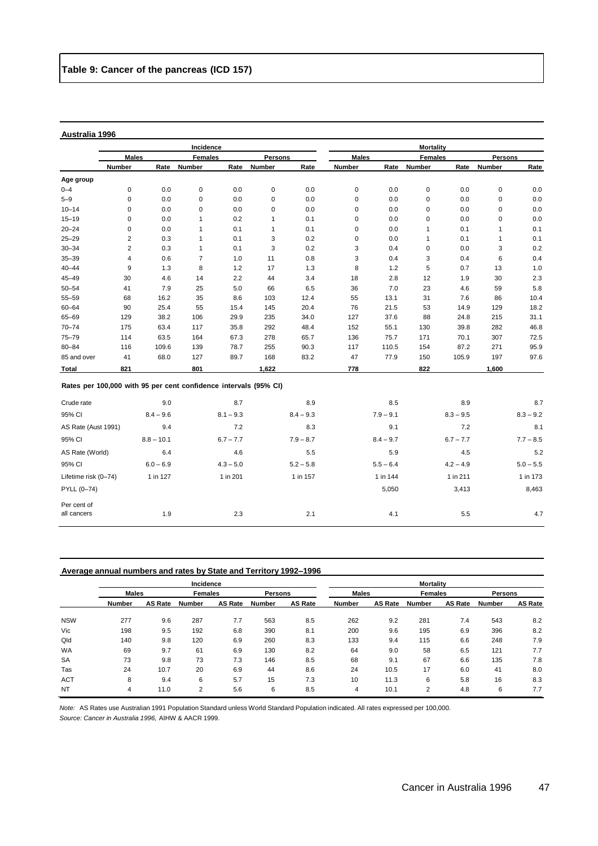Per cent of<br>all cancers

|                                                                  |                |              | Incidence      |             | <b>Mortality</b> |             |              |             |                |             |                |             |
|------------------------------------------------------------------|----------------|--------------|----------------|-------------|------------------|-------------|--------------|-------------|----------------|-------------|----------------|-------------|
|                                                                  | <b>Males</b>   |              | <b>Females</b> |             | <b>Persons</b>   |             | <b>Males</b> |             | <b>Females</b> |             | <b>Persons</b> |             |
|                                                                  | <b>Number</b>  | Rate         | Number         | Rate        | Number           | Rate        | Number       | Rate        | Number         | Rate        | <b>Number</b>  | Rate        |
| Age group                                                        |                |              |                |             |                  |             |              |             |                |             |                |             |
| $0 - 4$                                                          | 0              | 0.0          | 0              | 0.0         | $\mathbf 0$      | 0.0         | 0            | 0.0         | $\mathbf 0$    | 0.0         | 0              | 0.0         |
| $5 - 9$                                                          | 0              | 0.0          | $\mathbf 0$    | 0.0         | $\mathbf 0$      | 0.0         | $\mathbf 0$  | 0.0         | $\mathbf 0$    | 0.0         | $\mathbf 0$    | 0.0         |
| $10 - 14$                                                        | 0              | 0.0          | $\mathbf 0$    | 0.0         | 0                | 0.0         | 0            | 0.0         | $\pmb{0}$      | 0.0         | 0              | 0.0         |
| $15 - 19$                                                        | 0              | 0.0          | 1              | 0.2         | $\mathbf{1}$     | 0.1         | 0            | 0.0         | 0              | 0.0         | 0              | 0.0         |
| $20 - 24$                                                        | 0              | 0.0          | 1              | 0.1         | 1                | 0.1         | $\mathbf 0$  | 0.0         | 1              | 0.1         | 1              | 0.1         |
| $25 - 29$                                                        | 2              | 0.3          | 1              | 0.1         | 3                | 0.2         | 0            | 0.0         | 1              | 0.1         | 1              | 0.1         |
| $30 - 34$                                                        | $\overline{2}$ | 0.3          | 1              | 0.1         | 3                | 0.2         | 3            | 0.4         | 0              | 0.0         | 3              | 0.2         |
| $35 - 39$                                                        | 4              | 0.6          | $\overline{7}$ | 1.0         | 11               | 0.8         | 3            | 0.4         | 3              | 0.4         | 6              | 0.4         |
| $40 - 44$                                                        | 9              | 1.3          | 8              | 1.2         | 17               | 1.3         | 8            | 1.2         | 5              | 0.7         | 13             | 1.0         |
| $45 - 49$                                                        | 30             | 4.6          | 14             | 2.2         | 44               | 3.4         | 18           | 2.8         | 12             | 1.9         | 30             | 2.3         |
| $50 - 54$                                                        | 41             | 7.9          | 25             | 5.0         | 66               | 6.5         | 36           | 7.0         | 23             | 4.6         | 59             | 5.8         |
| $55 - 59$                                                        | 68             | 16.2         | 35             | 8.6         | 103              | 12.4        | 55           | 13.1        | 31             | 7.6         | 86             | 10.4        |
| $60 - 64$                                                        | 90             | 25.4         | 55             | 15.4        | 145              | 20.4        | 76           | 21.5        | 53             | 14.9        | 129            | 18.2        |
| 65-69                                                            | 129            | 38.2         | 106            | 29.9        | 235              | 34.0        | 127          | 37.6        | 88             | 24.8        | 215            | 31.1        |
| $70 - 74$                                                        | 175            | 63.4         | 117            | 35.8        | 292              | 48.4        | 152          | 55.1        | 130            | 39.8        | 282            | 46.8        |
| $75 - 79$                                                        | 114            | 63.5         | 164            | 67.3        | 278              | 65.7        | 136          | 75.7        | 171            | 70.1        | 307            | 72.5        |
| $80 - 84$                                                        | 116            | 109.6        | 139            | 78.7        | 255              | 90.3        | 117          | 110.5       | 154            | 87.2        | 271            | 95.9        |
| 85 and over                                                      | 41             | 68.0         | 127            | 89.7        | 168              | 83.2        | 47           | 77.9        | 150            | 105.9       | 197            | 97.6        |
| Total                                                            | 821            |              | 801            |             | 1,622            |             | 778          |             | 822            |             | 1,600          |             |
| Rates per 100,000 with 95 per cent confidence intervals (95% CI) |                |              |                |             |                  |             |              |             |                |             |                |             |
| Crude rate                                                       |                | 9.0          |                | 8.7         |                  | 8.9         |              | 8.5         |                | 8.9         |                | 8.7         |
| 95% CI                                                           |                | $8.4 - 9.6$  |                | $8.1 - 9.3$ |                  | $8.4 - 9.3$ |              | $7.9 - 9.1$ |                | $8.3 - 9.5$ |                | $8.3 - 9.2$ |
| AS Rate (Aust 1991)                                              |                | 9.4          |                | 7.2         |                  | 8.3         |              | 9.1         |                | 7.2         |                | 8.1         |
| 95% CI                                                           |                | $8.8 - 10.1$ |                | $6.7 - 7.7$ |                  | $7.9 - 8.7$ |              | $8.4 - 9.7$ |                | $6.7 - 7.7$ |                | $7.7 - 8.5$ |
| AS Rate (World)                                                  |                | 6.4          |                | 4.6         |                  | 5.5         |              | 5.9         |                | 4.5         |                | 5.2         |
| 95% CI                                                           |                | $6.0 - 6.9$  |                | $4.3 - 5.0$ |                  | $5.2 - 5.8$ |              | $5.5 - 6.4$ |                | $4.2 - 4.9$ |                | $5.0 - 5.5$ |

# **Average annual numbers and rates by State and Territory 1992–1996**

|            |               |                | Incidence      |                |                |                | <b>Mortality</b> |                |                |                |               |                |
|------------|---------------|----------------|----------------|----------------|----------------|----------------|------------------|----------------|----------------|----------------|---------------|----------------|
|            | <b>Males</b>  |                | <b>Females</b> |                | <b>Persons</b> |                | <b>Males</b>     |                | <b>Females</b> |                | Persons       |                |
|            | <b>Number</b> | <b>AS Rate</b> | Number         | <b>AS Rate</b> | <b>Number</b>  | <b>AS Rate</b> | <b>Number</b>    | <b>AS Rate</b> | Number         | <b>AS Rate</b> | <b>Number</b> | <b>AS Rate</b> |
| <b>NSW</b> | 277           | 9.6            | 287            | 7.7            | 563            | 8.5            | 262              | 9.2            | 281            | 7.4            | 543           | 8.2            |
| Vic        | 198           | 9.5            | 192            | 6.8            | 390            | 8.1            | 200              | 9.6            | 195            | 6.9            | 396           | 8.2            |
| Qld        | 140           | 9.8            | 120            | 6.9            | 260            | 8.3            | 133              | 9.4            | 115            | 6.6            | 248           | 7.9            |
| <b>WA</b>  | 69            | 9.7            | 61             | 6.9            | 130            | 8.2            | 64               | 9.0            | 58             | 6.5            | 121           | 7.7            |
| <b>SA</b>  | 73            | 9.8            | 73             | 7.3            | 146            | 8.5            | 68               | 9.1            | 67             | 6.6            | 135           | 7.8            |
| Tas        | 24            | 10.7           | 20             | 6.9            | 44             | 8.6            | 24               | 10.5           | 17             | 6.0            | 41            | 8.0            |
| <b>ACT</b> | 8             | 9.4            | 6              | 5.7            | 15             | 7.3            | 10               | 11.3           | 6              | 5.8            | 16            | 8.3            |
| <b>NT</b>  | 4             | 11.0           | 2              | 5.6            | 6              | 8.5            | 4                | 10.1           | $\overline{2}$ | 4.8            | 6             | 7.7            |

Lifetime risk (0–74) 1 in 127 1 in 201 1 in 157 1 in 144 1 in 211 1 in 173 PYLL (0–74) 5,050 3,413 8,463

all cancers **1.9** 2.3 2.1 4.1 5.5 4.7

*Note:* AS Rates use Australian 1991 Population Standard unless World Standard Population indicated. All rates expressed per 100,000. *Source: Cancer in Australia 1996,* AIHW & AACR 1999.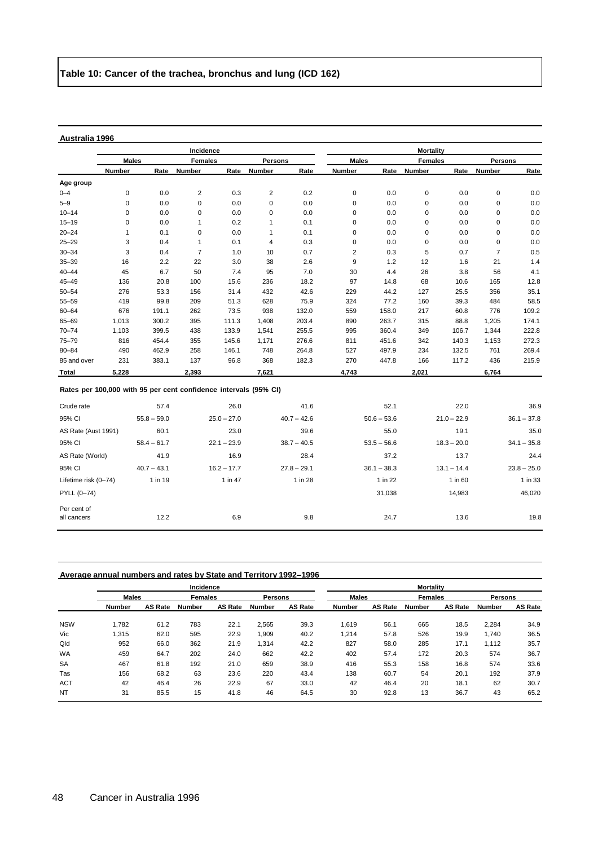Per cent of

|                                                                  |               |               | Incidence      |               |                |               | <b>Mortality</b> |               |                |               |                |               |
|------------------------------------------------------------------|---------------|---------------|----------------|---------------|----------------|---------------|------------------|---------------|----------------|---------------|----------------|---------------|
|                                                                  | <b>Males</b>  |               | <b>Females</b> |               | <b>Persons</b> |               | <b>Males</b>     |               | <b>Females</b> |               | Persons        |               |
|                                                                  | <b>Number</b> | Rate          | <b>Number</b>  | Rate          | Number         | Rate          | <b>Number</b>    | Rate          | <b>Number</b>  | Rate          | <b>Number</b>  | Rate          |
| Age group                                                        |               |               |                |               |                |               |                  |               |                |               |                |               |
| $0 - 4$                                                          | 0             | 0.0           | $\overline{c}$ | 0.3           | $\overline{2}$ | 0.2           | $\mathbf 0$      | 0.0           | $\pmb{0}$      | 0.0           | $\mathsf 0$    | 0.0           |
| $5 - 9$                                                          | 0             | 0.0           | $\mathbf 0$    | 0.0           | $\mathbf 0$    | 0.0           | 0                | 0.0           | $\pmb{0}$      | 0.0           | 0              | 0.0           |
| $10 - 14$                                                        | 0             | 0.0           | $\pmb{0}$      | 0.0           | $\mathbf 0$    | 0.0           | 0                | 0.0           | $\pmb{0}$      | 0.0           | $\mathsf 0$    | 0.0           |
| $15 - 19$                                                        | 0             | 0.0           | $\mathbf{1}$   | 0.2           | $\mathbf{1}$   | 0.1           | 0                | 0.0           | $\pmb{0}$      | 0.0           | 0              | 0.0           |
| $20 - 24$                                                        | 1             | 0.1           | $\pmb{0}$      | 0.0           | $\mathbf{1}$   | 0.1           | $\pmb{0}$        | 0.0           | $\pmb{0}$      | 0.0           | $\mathsf 0$    | 0.0           |
| $25 - 29$                                                        | 3             | 0.4           | $\mathbf{1}$   | 0.1           | 4              | 0.3           | 0                | 0.0           | 0              | 0.0           | 0              | 0.0           |
| $30 - 34$                                                        | 3             | 0.4           | $\overline{7}$ | 1.0           | 10             | 0.7           | $\overline{2}$   | 0.3           | 5              | 0.7           | $\overline{7}$ | 0.5           |
| $35 - 39$                                                        | 16            | 2.2           | 22             | 3.0           | 38             | 2.6           | 9                | 1.2           | 12             | 1.6           | 21             | 1.4           |
| $40 - 44$                                                        | 45            | 6.7           | 50             | 7.4           | 95             | 7.0           | 30               | 4.4           | 26             | 3.8           | 56             | 4.1           |
| $45 - 49$                                                        | 136           | 20.8          | 100            | 15.6          | 236            | 18.2          | 97               | 14.8          | 68             | 10.6          | 165            | 12.8          |
| $50 - 54$                                                        | 276           | 53.3          | 156            | 31.4          | 432            | 42.6          | 229              | 44.2          | 127            | 25.5          | 356            | 35.1          |
| $55 - 59$                                                        | 419           | 99.8          | 209            | 51.3          | 628            | 75.9          | 324              | 77.2          | 160            | 39.3          | 484            | 58.5          |
| $60 - 64$                                                        | 676           | 191.1         | 262            | 73.5          | 938            | 132.0         | 559              | 158.0         | 217            | 60.8          | 776            | 109.2         |
| 65-69                                                            | 1,013         | 300.2         | 395            | 111.3         | 1,408          | 203.4         | 890              | 263.7         | 315            | 88.8          | 1,205          | 174.1         |
| $70 - 74$                                                        | 1,103         | 399.5         | 438            | 133.9         | 1,541          | 255.5         | 995              | 360.4         | 349            | 106.7         | 1,344          | 222.8         |
| $75 - 79$                                                        | 816           | 454.4         | 355            | 145.6         | 1,171          | 276.6         | 811              | 451.6         | 342            | 140.3         | 1,153          | 272.3         |
| $80 - 84$                                                        | 490           | 462.9         | 258            | 146.1         | 748            | 264.8         | 527              | 497.9         | 234            | 132.5         | 761            | 269.4         |
| 85 and over                                                      | 231           | 383.1         | 137            | 96.8          | 368            | 182.3         | 270              | 447.8         | 166            | 117.2         | 436            | 215.9         |
| <b>Total</b>                                                     | 5,228         |               | 2,393          |               | 7,621          |               | 4,743            |               | 2,021          |               | 6,764          |               |
| Rates per 100,000 with 95 per cent confidence intervals (95% CI) |               |               |                |               |                |               |                  |               |                |               |                |               |
| Crude rate                                                       |               | 57.4          |                | 26.0          |                | 41.6          |                  | 52.1          |                | 22.0          |                | 36.9          |
| 95% CI                                                           |               | $55.8 - 59.0$ |                | $25.0 - 27.0$ |                | $40.7 - 42.6$ |                  | $50.6 - 53.6$ |                | $21.0 - 22.9$ |                | $36.1 - 37.8$ |
| AS Rate (Aust 1991)                                              |               | 60.1          |                | 23.0          |                | 39.6          |                  | 55.0          |                | 19.1          |                | 35.0          |
| 95% CI                                                           |               | $58.4 - 61.7$ |                | $22.1 - 23.9$ |                | $38.7 - 40.5$ |                  | $53.5 - 56.6$ |                | $18.3 - 20.0$ |                | $34.1 - 35.8$ |
| AS Rate (World)                                                  |               | 41.9          |                | 16.9          |                | 28.4          |                  | 37.2          |                | 13.7          |                | 24.4          |
| 95% CI                                                           |               | $40.7 - 43.1$ |                | $16.2 - 17.7$ |                | $27.8 - 29.1$ |                  | $36.1 - 38.3$ |                | $13.1 - 14.4$ |                | $23.8 - 25.0$ |
| Lifetime risk (0-74)                                             |               | 1 in 19       |                | 1 in 47       |                | 1 in 28       |                  | 1 in 22       |                | 1 in 60       |                | 1 in 33       |
| PYLL (0-74)                                                      |               |               |                |               |                |               |                  | 31.038        |                | 14,983        |                | 46.020        |

#### **Average annual numbers and rates by State and Territory 1992–1996**

|            |               |                | Incidence      |                |                |                | <b>Mortality</b> |                |                |                |                |                |
|------------|---------------|----------------|----------------|----------------|----------------|----------------|------------------|----------------|----------------|----------------|----------------|----------------|
|            | <b>Males</b>  |                | <b>Females</b> |                | <b>Persons</b> |                | <b>Males</b>     |                | <b>Females</b> |                | <b>Persons</b> |                |
|            | <b>Number</b> | <b>AS Rate</b> | Number         | <b>AS Rate</b> | <b>Number</b>  | <b>AS Rate</b> | <b>Number</b>    | <b>AS Rate</b> | <b>Number</b>  | <b>AS Rate</b> | <b>Number</b>  | <b>AS Rate</b> |
| <b>NSW</b> | 1.782         | 61.2           | 783            | 22.1           | 2.565          | 39.3           | 1,619            | 56.1           | 665            | 18.5           | 2,284          | 34.9           |
| Vic        | .315          | 62.0           | 595            | 22.9           | 1,909          | 40.2           | 1,214            | 57.8           | 526            | 19.9           | 1.740          | 36.5           |
| Qld        | 952           | 66.0           | 362            | 21.9           | 1,314          | 42.2           | 827              | 58.0           | 285            | 17.1           | 1.112          | 35.7           |
| <b>WA</b>  | 459           | 64.7           | 202            | 24.0           | 662            | 42.2           | 402              | 57.4           | 172            | 20.3           | 574            | 36.7           |
| <b>SA</b>  | 467           | 61.8           | 192            | 21.0           | 659            | 38.9           | 416              | 55.3           | 158            | 16.8           | 574            | 33.6           |
| Tas        | 156           | 68.2           | 63             | 23.6           | 220            | 43.4           | 138              | 60.7           | 54             | 20.1           | 192            | 37.9           |
| <b>ACT</b> | 42            | 46.4           | 26             | 22.9           | 67             | 33.0           | 42               | 46.4           | 20             | 18.1           | 62             | 30.7           |
| <b>NT</b>  | 31            | 85.5           | 15             | 41.8           | 46             | 64.5           | 30               | 92.8           | 13             | 36.7           | 43             | 65.2           |

all cancers 12.2 6.9 9.8 24.7 13.6 19.8 19.8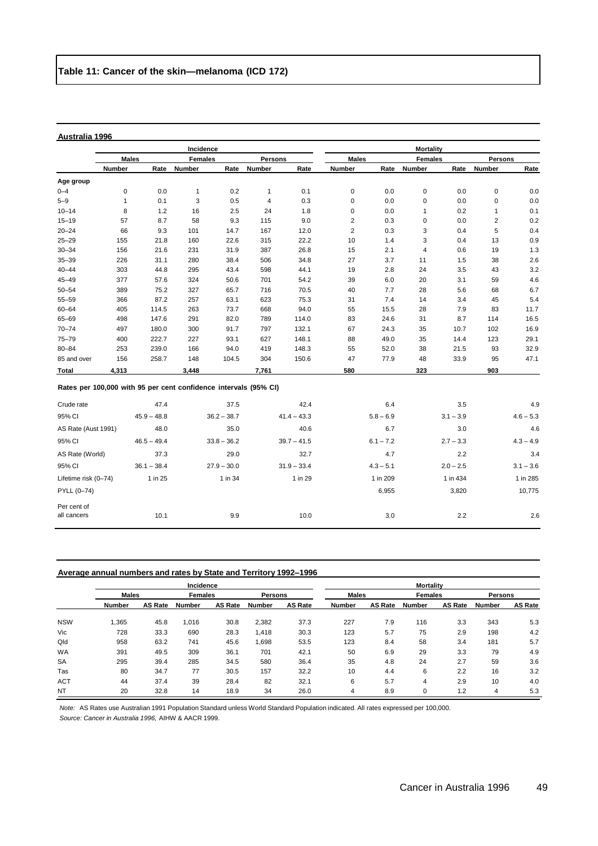|                                                                  |              |               | Incidence      |               |              |               |                         |             | <b>Mortality</b> |             |                |             |
|------------------------------------------------------------------|--------------|---------------|----------------|---------------|--------------|---------------|-------------------------|-------------|------------------|-------------|----------------|-------------|
|                                                                  | <b>Males</b> |               | <b>Females</b> |               | Persons      |               | <b>Males</b>            |             | <b>Females</b>   |             | <b>Persons</b> |             |
|                                                                  | Number       | Rate          | Number         | Rate          | Number       | Rate          | Number                  | Rate        | Number           | Rate        | Number         | Rate        |
| Age group                                                        |              |               |                |               |              |               |                         |             |                  |             |                |             |
| $0 - 4$                                                          | $\pmb{0}$    | 0.0           | $\mathbf{1}$   | 0.2           | $\mathbf{1}$ | 0.1           | 0                       | 0.0         | 0                | 0.0         | $\pmb{0}$      | 0.0         |
| $5 - 9$                                                          | 1            | 0.1           | 3              | 0.5           | 4            | 0.3           | 0                       | 0.0         | 0                | 0.0         | 0              | 0.0         |
| $10 - 14$                                                        | 8            | 1.2           | 16             | 2.5           | 24           | 1.8           | 0                       | 0.0         | 1                | 0.2         | 1              | 0.1         |
| $15 - 19$                                                        | 57           | 8.7           | 58             | 9.3           | 115          | 9.0           | $\overline{\mathbf{c}}$ | 0.3         | 0                | 0.0         | $\overline{2}$ | 0.2         |
| $20 - 24$                                                        | 66           | 9.3           | 101            | 14.7          | 167          | 12.0          | $\overline{2}$          | 0.3         | 3                | 0.4         | 5              | 0.4         |
| $25 - 29$                                                        | 155          | 21.8          | 160            | 22.6          | 315          | 22.2          | 10                      | 1.4         | 3                | 0.4         | 13             | 0.9         |
| $30 - 34$                                                        | 156          | 21.6          | 231            | 31.9          | 387          | 26.8          | 15                      | 2.1         | 4                | 0.6         | 19             | 1.3         |
| $35 - 39$                                                        | 226          | 31.1          | 280            | 38.4          | 506          | 34.8          | 27                      | 3.7         | 11               | 1.5         | 38             | 2.6         |
| $40 - 44$                                                        | 303          | 44.8          | 295            | 43.4          | 598          | 44.1          | 19                      | 2.8         | 24               | 3.5         | 43             | 3.2         |
| $45 - 49$                                                        | 377          | 57.6          | 324            | 50.6          | 701          | 54.2          | 39                      | 6.0         | 20               | 3.1         | 59             | 4.6         |
| $50 - 54$                                                        | 389          | 75.2          | 327            | 65.7          | 716          | 70.5          | 40                      | 7.7         | 28               | 5.6         | 68             | 6.7         |
| $55 - 59$                                                        | 366          | 87.2          | 257            | 63.1          | 623          | 75.3          | 31                      | 7.4         | 14               | 3.4         | 45             | 5.4         |
| $60 - 64$                                                        | 405          | 114.5         | 263            | 73.7          | 668          | 94.0          | 55                      | 15.5        | 28               | 7.9         | 83             | 11.7        |
| 65-69                                                            | 498          | 147.6         | 291            | 82.0          | 789          | 114.0         | 83                      | 24.6        | 31               | 8.7         | 114            | 16.5        |
| $70 - 74$                                                        | 497          | 180.0         | 300            | 91.7          | 797          | 132.1         | 67                      | 24.3        | 35               | 10.7        | 102            | 16.9        |
| $75 - 79$                                                        | 400          | 222.7         | 227            | 93.1          | 627          | 148.1         | 88                      | 49.0        | 35               | 14.4        | 123            | 29.1        |
| $80 - 84$                                                        | 253          | 239.0         | 166            | 94.0          | 419          | 148.3         | 55                      | 52.0        | 38               | 21.5        | 93             | 32.9        |
| 85 and over                                                      | 156          | 258.7         | 148            | 104.5         | 304          | 150.6         | 47                      | 77.9        | 48               | 33.9        | 95             | 47.1        |
| Total                                                            | 4,313        |               | 3,448          |               | 7,761        |               | 580                     |             | 323              |             | 903            |             |
| Rates per 100,000 with 95 per cent confidence intervals (95% CI) |              |               |                |               |              |               |                         |             |                  |             |                |             |
| Crude rate                                                       |              | 47.4          |                | 37.5          |              | 42.4          |                         | 6.4         |                  | 3.5         |                | 4.9         |
| 95% CI                                                           |              | $45.9 - 48.8$ |                | $36.2 - 38.7$ |              | $41.4 - 43.3$ |                         | $5.8 - 6.9$ |                  | $3.1 - 3.9$ |                | $4.6 - 5.3$ |
| AS Rate (Aust 1991)                                              |              | 48.0          |                | 35.0          |              | 40.6          |                         | 6.7         |                  | 3.0         |                | 4.6         |
| 95% CI                                                           |              | $46.5 - 49.4$ |                | $33.8 - 36.2$ |              | $39.7 - 41.5$ |                         | $6.1 - 7.2$ |                  | $2.7 - 3.3$ |                | $4.3 - 4.9$ |
| AS Rate (World)                                                  |              | 37.3          |                | 29.0          |              | 32.7          |                         | 4.7         |                  | 2.2         |                | 3.4         |
| 95% CI                                                           |              | $36.1 - 38.4$ |                | $27.9 - 30.0$ |              | $31.9 - 33.4$ |                         | $4.3 - 5.1$ |                  | $2.0 - 2.5$ |                | $3.1 - 3.6$ |
| Lifetime risk (0-74)                                             |              | 1 in 25       |                | 1 in 34       |              | 1 in 29       |                         | 1 in 209    |                  | 1 in 434    |                | 1 in 285    |
| PYLL (0-74)                                                      |              |               |                |               |              |               |                         | 6,955       |                  | 3,820       |                | 10,775      |
| Per cent of<br>all cancers                                       |              | 10.1          |                | 9.9           |              | 10.0          |                         | 3.0         |                  | 2.2         |                | 2.6         |

#### **Average annual numbers and rates by State and Territory 1992–1996**

|            |               |         | Incidence |                |        |                | <b>Mortality</b> |                |        |                |               |                |  |
|------------|---------------|---------|-----------|----------------|--------|----------------|------------------|----------------|--------|----------------|---------------|----------------|--|
|            | <b>Males</b>  |         |           | <b>Females</b> |        | <b>Persons</b> |                  | <b>Males</b>   |        | <b>Females</b> |               | Persons        |  |
|            | <b>Number</b> | AS Rate | Number    | <b>AS Rate</b> | Number | <b>AS Rate</b> | <b>Number</b>    | <b>AS Rate</b> | Number | <b>AS Rate</b> | <b>Number</b> | <b>AS Rate</b> |  |
| <b>NSW</b> | .365          | 45.8    | 1,016     | 30.8           | 2,382  | 37.3           | 227              | 7.9            | 116    | 3.3            | 343           | 5.3            |  |
| Vic        | 728           | 33.3    | 690       | 28.3           | 1.418  | 30.3           | 123              | 5.7            | 75     | 2.9            | 198           | 4.2            |  |
| Qld        | 958           | 63.2    | 741       | 45.6           | 1.698  | 53.5           | 123              | 8.4            | 58     | 3.4            | 181           | 5.7            |  |
| <b>WA</b>  | 391           | 49.5    | 309       | 36.1           | 701    | 42.1           | 50               | 6.9            | 29     | 3.3            | 79            | 4.9            |  |
| <b>SA</b>  | 295           | 39.4    | 285       | 34.5           | 580    | 36.4           | 35               | 4.8            | 24     | 2.7            | 59            | 3.6            |  |
| Tas        | 80            | 34.7    | 77        | 30.5           | 157    | 32.2           | 10               | 4.4            | 6      | 2.2            | 16            | 3.2            |  |
| <b>ACT</b> | 44            | 37.4    | 39        | 28.4           | 82     | 32.1           | 6                | 5.7            | 4      | 2.9            | 10            | 4.0            |  |
| <b>NT</b>  | 20            | 32.8    | 14        | 18.9           | 34     | 26.0           | 4                | 8.9            |        | 1.2            | 4             | 5.3            |  |

all cancers 10.1 10.1 9.9 10.0 3.0 2.2 2.6

*Note:* AS Rates use Australian 1991 Population Standard unless World Standard Population indicated. All rates expressed per 100,000. *Source: Cancer in Australia 1996,* AIHW & AACR 1999.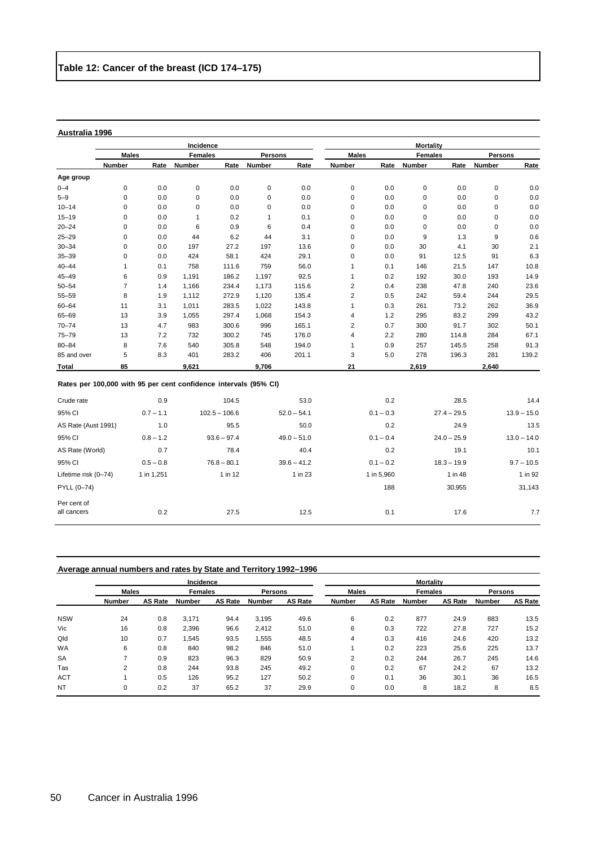|              |                                                                  |      | Incidence      |       |         |       | <b>Mortality</b> |      |                |       |                |       |
|--------------|------------------------------------------------------------------|------|----------------|-------|---------|-------|------------------|------|----------------|-------|----------------|-------|
|              | <b>Males</b>                                                     |      | <b>Females</b> |       | Persons |       | <b>Males</b>     |      | <b>Females</b> |       | <b>Persons</b> |       |
|              | Number                                                           | Rate | <b>Number</b>  | Rate  | Number  | Rate  | Number           | Rate | Number         | Rate  | <b>Number</b>  | Rate  |
| Age group    |                                                                  |      |                |       |         |       |                  |      |                |       |                |       |
| $0 - 4$      | 0                                                                | 0.0  | 0              | 0.0   | 0       | 0.0   | 0                | 0.0  | 0              | 0.0   | 0              | 0.0   |
| $5 - 9$      | 0                                                                | 0.0  | 0              | 0.0   | 0       | 0.0   | 0                | 0.0  | 0              | 0.0   | 0              | 0.0   |
| $10 - 14$    | 0                                                                | 0.0  | 0              | 0.0   | 0       | 0.0   | 0                | 0.0  | 0              | 0.0   | 0              | 0.0   |
| $15 - 19$    | 0                                                                | 0.0  | 1              | 0.2   | 1       | 0.1   | 0                | 0.0  | 0              | 0.0   | 0              | 0.0   |
| $20 - 24$    | 0                                                                | 0.0  | 6              | 0.9   | 6       | 0.4   | 0                | 0.0  | 0              | 0.0   | 0              | 0.0   |
| $25 - 29$    | 0                                                                | 0.0  | 44             | 6.2   | 44      | 3.1   | 0                | 0.0  | 9              | 1.3   | 9              | 0.6   |
| $30 - 34$    | 0                                                                | 0.0  | 197            | 27.2  | 197     | 13.6  | 0                | 0.0  | 30             | 4.1   | 30             | 2.1   |
| $35 - 39$    | 0                                                                | 0.0  | 424            | 58.1  | 424     | 29.1  | 0                | 0.0  | 91             | 12.5  | 91             | 6.3   |
| $40 - 44$    | 1                                                                | 0.1  | 758            | 111.6 | 759     | 56.0  | 1                | 0.1  | 146            | 21.5  | 147            | 10.8  |
| $45 - 49$    | 6                                                                | 0.9  | 1,191          | 186.2 | 1,197   | 92.5  | 1                | 0.2  | 192            | 30.0  | 193            | 14.9  |
| $50 - 54$    | $\overline{7}$                                                   | 1.4  | 1,166          | 234.4 | 1,173   | 115.6 | 2                | 0.4  | 238            | 47.8  | 240            | 23.6  |
| $55 - 59$    | 8                                                                | 1.9  | 1,112          | 272.9 | 1,120   | 135.4 | 2                | 0.5  | 242            | 59.4  | 244            | 29.5  |
| $60 - 64$    | 11                                                               | 3.1  | 1,011          | 283.5 | 1,022   | 143.8 |                  | 0.3  | 261            | 73.2  | 262            | 36.9  |
| $65 - 69$    | 13                                                               | 3.9  | 1,055          | 297.4 | 1,068   | 154.3 | 4                | 1.2  | 295            | 83.2  | 299            | 43.2  |
| $70 - 74$    | 13                                                               | 4.7  | 983            | 300.6 | 996     | 165.1 | 2                | 0.7  | 300            | 91.7  | 302            | 50.1  |
| $75 - 79$    | 13                                                               | 7.2  | 732            | 300.2 | 745     | 176.0 | 4                | 2.2  | 280            | 114.8 | 284            | 67.1  |
| $80 - 84$    | 8                                                                | 7.6  | 540            | 305.8 | 548     | 194.0 | 1                | 0.9  | 257            | 145.5 | 258            | 91.3  |
| 85 and over  | 5                                                                | 8.3  | 401            | 283.2 | 406     | 201.1 | 3                | 5.0  | 278            | 196.3 | 281            | 139.2 |
| <b>Total</b> | 85                                                               |      | 9.621          |       | 9,706   |       | 21               |      | 2,619          |       | 2,640          |       |
|              | Rates per 100,000 with 95 per cent confidence intervals (95% CI) |      |                |       |         |       |                  |      |                |       |                |       |
| Crude rate   |                                                                  | 0.9  |                | 104.5 |         | 53.0  |                  | 0.2  |                | 28.5  |                | 14.4  |

| Crude rate           | 0.9         | 104.5           | 53.0          | 0.2         | 28.5          | 14.4          |
|----------------------|-------------|-----------------|---------------|-------------|---------------|---------------|
| 95% CI               | $0.7 - 1.1$ | $102.5 - 106.6$ | $52.0 - 54.1$ | $0.1 - 0.3$ | $27.4 - 29.5$ | $13.9 - 15.0$ |
| AS Rate (Aust 1991)  | 1.0         | 95.5            | 50.0          | 0.2         | 24.9          | 13.5          |
| 95% CI               | $0.8 - 1.2$ | $93.6 - 97.4$   | $49.0 - 51.0$ | $0.1 - 0.4$ | $24.0 - 25.9$ | $13.0 - 14.0$ |
| AS Rate (World)      | 0.7         | 78.4            | 40.4          | 0.2         | 19.1          | 10.1          |
| 95% CI               | $0.5 - 0.8$ | $76.8 - 80.1$   | $39.6 - 41.2$ | $0.1 - 0.2$ | $18.3 - 19.9$ | $9.7 - 10.5$  |
| Lifetime risk (0-74) | 1 in 1.251  | $1$ in 12       | 1 in 23       | 1 in 5,960  | 1 in 48       | 1 in 92       |
| PYLL (0-74)          |             |                 |               | 188         | 30.955        | 31,143        |
| Per cent of          |             |                 |               |             |               |               |
| all cancers          | 0.2         | 27.5            | 12.5          | 0.1         | 17.6          | 7.7           |

| Average annual numbers and rates by State and Territory 1992-1996 |  |  |
|-------------------------------------------------------------------|--|--|
|-------------------------------------------------------------------|--|--|

|            |                          |                | Incidence      |                |                |                | <b>Mortality</b> |                |                |                |                |                |  |
|------------|--------------------------|----------------|----------------|----------------|----------------|----------------|------------------|----------------|----------------|----------------|----------------|----------------|--|
|            | <b>Males</b>             |                | <b>Females</b> |                | <b>Persons</b> |                | <b>Males</b>     |                | <b>Females</b> |                | <b>Persons</b> |                |  |
|            | Number                   | <b>AS Rate</b> | Number         | <b>AS Rate</b> | <b>Number</b>  | <b>AS Rate</b> | Number           | <b>AS Rate</b> | Number         | <b>AS Rate</b> | <b>Number</b>  | <b>AS Rate</b> |  |
| <b>NSW</b> | 24                       | 0.8            | 3,171          | 94.4           | 3.195          | 49.6           | 6                | 0.2            | 877            | 24.9           | 883            | 13.5           |  |
| Vic        | 16                       | 0.8            | 2,396          | 96.6           | 2.412          | 51.0           | 6                | 0.3            | 722            | 27.8           | 727            | 15.2           |  |
| Qld        | 10                       | 0.7            | 1,545          | 93.5           | 1,555          | 48.5           | 4                | 0.3            | 416            | 24.6           | 420            | 13.2           |  |
| <b>WA</b>  | 6                        | 0.8            | 840            | 98.2           | 846            | 51.0           |                  | 0.2            | 223            | 25.6           | 225            | 13.7           |  |
| <b>SA</b>  | $\overline{\phantom{a}}$ | 0.9            | 823            | 96.3           | 829            | 50.9           | 2                | 0.2            | 244            | 26.7           | 245            | 14.6           |  |
| Tas        | 2                        | 0.8            | 244            | 93.8           | 245            | 49.2           | 0                | 0.2            | 67             | 24.2           | 67             | 13.2           |  |
| <b>ACT</b> |                          | 0.5            | 126            | 95.2           | 127            | 50.2           | 0                | 0.1            | 36             | 30.1           | 36             | 16.5           |  |
| <b>NT</b>  | 0                        | 0.2            | 37             | 65.2           | 37             | 29.9           | 0                | 0.0            | 8              | 18.2           | 8              | 8.5            |  |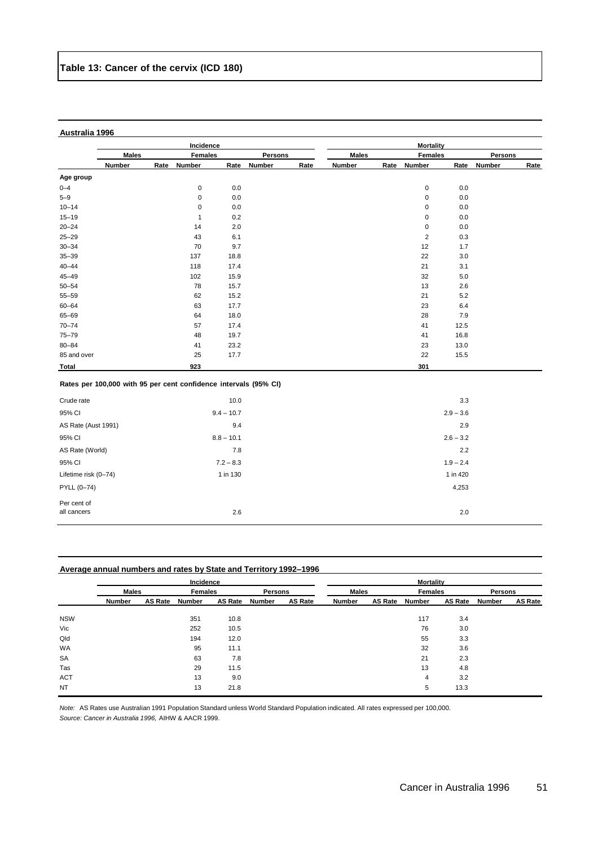|                      |                                                                  |      | Incidence      |              |         |      |              |      | <b>Mortality</b> |             |         |      |
|----------------------|------------------------------------------------------------------|------|----------------|--------------|---------|------|--------------|------|------------------|-------------|---------|------|
|                      | <b>Males</b>                                                     |      | <b>Females</b> |              | Persons |      | <b>Males</b> |      | <b>Females</b>   |             | Persons |      |
|                      | Number                                                           | Rate | Number         | Rate         | Number  | Rate | Number       | Rate | Number           | Rate        | Number  | Rate |
| Age group            |                                                                  |      |                |              |         |      |              |      |                  |             |         |      |
| $0 - 4$              |                                                                  |      | 0              | 0.0          |         |      |              |      | 0                | 0.0         |         |      |
| $5 - 9$              |                                                                  |      | $\pmb{0}$      | 0.0          |         |      |              |      | $\pmb{0}$        | 0.0         |         |      |
| $10 - 14$            |                                                                  |      | $\pmb{0}$      | 0.0          |         |      |              |      | 0                | 0.0         |         |      |
| $15 - 19$            |                                                                  |      | $\mathbf{1}$   | 0.2          |         |      |              |      | $\pmb{0}$        | 0.0         |         |      |
| $20 - 24$            |                                                                  |      | 14             | 2.0          |         |      |              |      | $\pmb{0}$        | 0.0         |         |      |
| $25 - 29$            |                                                                  |      | 43             | 6.1          |         |      |              |      | $\sqrt{2}$       | 0.3         |         |      |
| $30 - 34$            |                                                                  |      | 70             | 9.7          |         |      |              |      | 12               | 1.7         |         |      |
| $35 - 39$            |                                                                  |      | 137            | 18.8         |         |      |              |      | 22               | 3.0         |         |      |
| $40 - 44$            |                                                                  |      | 118            | 17.4         |         |      |              |      | 21               | 3.1         |         |      |
| $45 - 49$            |                                                                  |      | 102            | 15.9         |         |      |              |      | 32               | 5.0         |         |      |
| $50 - 54$            |                                                                  |      | 78             | 15.7         |         |      |              |      | 13               | 2.6         |         |      |
| 55-59                |                                                                  |      | 62             | 15.2         |         |      |              |      | 21               | 5.2         |         |      |
| $60 - 64$            |                                                                  |      | 63             | 17.7         |         |      |              |      | 23               | 6.4         |         |      |
| 65-69                |                                                                  |      | 64             | 18.0         |         |      |              |      | 28               | 7.9         |         |      |
| $70 - 74$            |                                                                  |      | 57             | 17.4         |         |      |              |      | 41               | 12.5        |         |      |
| 75-79                |                                                                  |      | 48             | 19.7         |         |      |              |      | 41               | 16.8        |         |      |
| $80 - 84$            |                                                                  |      | 41             | 23.2         |         |      |              |      | 23               | 13.0        |         |      |
| 85 and over          |                                                                  |      | 25             | 17.7         |         |      |              |      | 22               | 15.5        |         |      |
| Total                |                                                                  |      | 923            |              |         |      |              |      | 301              |             |         |      |
|                      | Rates per 100,000 with 95 per cent confidence intervals (95% CI) |      |                |              |         |      |              |      |                  |             |         |      |
| Crude rate           |                                                                  |      |                | 10.0         |         |      |              |      |                  | 3.3         |         |      |
| 95% CI               |                                                                  |      |                | $9.4 - 10.7$ |         |      |              |      |                  | $2.9 - 3.6$ |         |      |
| AS Rate (Aust 1991)  |                                                                  |      |                | 9.4          |         |      |              |      |                  | 2.9         |         |      |
| 95% CI               |                                                                  |      |                | $8.8 - 10.1$ |         |      |              |      |                  | $2.6 - 3.2$ |         |      |
| AS Rate (World)      |                                                                  |      |                | 7.8          |         |      |              |      |                  | 2.2         |         |      |
| 95% CI               |                                                                  |      |                | $7.2 - 8.3$  |         |      |              |      |                  | $1.9 - 2.4$ |         |      |
| Lifetime risk (0-74) |                                                                  |      |                | 1 in 130     |         |      |              |      |                  | 1 in 420    |         |      |
| PYLL (0-74)          |                                                                  |      |                |              |         |      |              |      |                  | 4,253       |         |      |
| Per cent of          |                                                                  |      |                |              |         |      |              |      |                  |             |         |      |
| all cancers          |                                                                  |      |                | 2.6          |         |      |              |      |                  | 2.0         |         |      |

| Average annual numbers and rates by State and Territory 1992–1996 |  |
|-------------------------------------------------------------------|--|
|                                                                   |  |

|            |               |                | Incidence      |                |                |                | <b>Mortality</b> |                |                |                |                |                |  |  |
|------------|---------------|----------------|----------------|----------------|----------------|----------------|------------------|----------------|----------------|----------------|----------------|----------------|--|--|
|            | <b>Males</b>  |                | <b>Females</b> |                | <b>Persons</b> |                | <b>Males</b>     |                | <b>Females</b> |                | <b>Persons</b> |                |  |  |
|            | <b>Number</b> | <b>AS Rate</b> | Number         | <b>AS Rate</b> | Number         | <b>AS Rate</b> | <b>Number</b>    | <b>AS Rate</b> | Number         | <b>AS Rate</b> | Number         | <b>AS Rate</b> |  |  |
| <b>NSW</b> |               |                | 351            | 10.8           |                |                |                  |                | 117            | 3.4            |                |                |  |  |
| Vic        |               |                | 252            | 10.5           |                |                |                  |                | 76             | 3.0            |                |                |  |  |
| Qld        |               |                | 194            | 12.0           |                |                |                  |                | 55             | 3.3            |                |                |  |  |
| WA         |               |                | 95             | 11.1           |                |                |                  |                | 32             | 3.6            |                |                |  |  |
| <b>SA</b>  |               |                | 63             | 7.8            |                |                |                  |                | 21             | 2.3            |                |                |  |  |
| Tas        |               |                | 29             | 11.5           |                |                |                  |                | 13             | 4.8            |                |                |  |  |
| <b>ACT</b> |               |                | 13             | 9.0            |                |                |                  |                | 4              | 3.2            |                |                |  |  |
| <b>NT</b>  |               |                | 13             | 21.8           |                |                |                  |                | 5              | 13.3           |                |                |  |  |

*Note:* AS Rates use Australian 1991 Population Standard unless World Standard Population indicated. All rates expressed per 100,000. *Source: Cancer in Australia 1996,* AIHW & AACR 1999.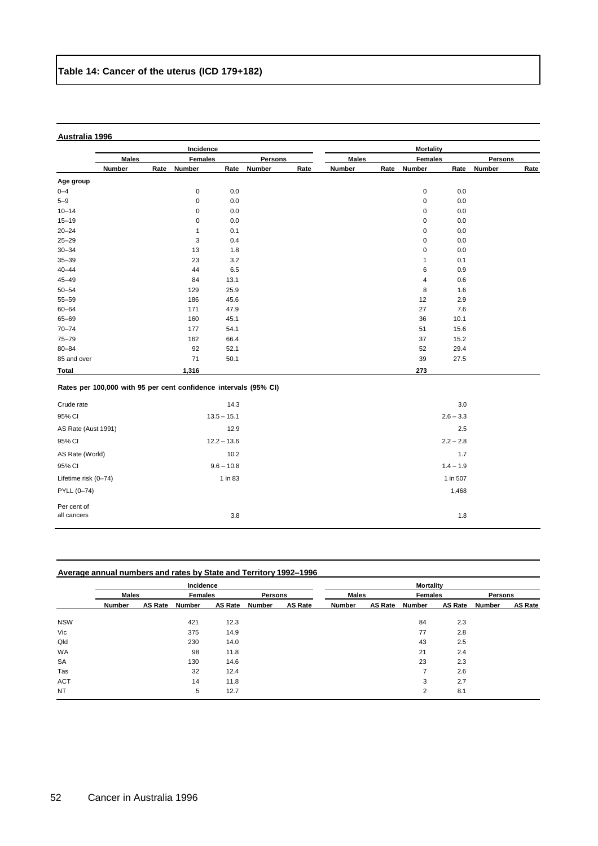|                            |               | Incidence                                                        |               |               |      |               | <b>Mortality</b> |                |             |               |      |  |  |
|----------------------------|---------------|------------------------------------------------------------------|---------------|---------------|------|---------------|------------------|----------------|-------------|---------------|------|--|--|
|                            | <b>Males</b>  | <b>Females</b>                                                   |               | Persons       |      | <b>Males</b>  |                  | <b>Females</b> |             | Persons       |      |  |  |
|                            | <b>Number</b> | Rate<br><b>Number</b>                                            | Rate          | <b>Number</b> | Rate | <b>Number</b> | Rate             | Number         | Rate        | <b>Number</b> | Rate |  |  |
| Age group                  |               |                                                                  |               |               |      |               |                  |                |             |               |      |  |  |
| $0 - 4$                    |               | $\mathbf 0$                                                      | 0.0           |               |      |               |                  | $\pmb{0}$      | 0.0         |               |      |  |  |
| $5 - 9$                    |               | $\pmb{0}$                                                        | 0.0           |               |      |               |                  | $\mathbf 0$    | 0.0         |               |      |  |  |
| $10 - 14$                  |               | $\pmb{0}$                                                        | 0.0           |               |      |               |                  | $\pmb{0}$      | 0.0         |               |      |  |  |
| $15 - 19$                  |               | $\pmb{0}$                                                        | 0.0           |               |      |               |                  | $\mathbf 0$    | 0.0         |               |      |  |  |
| $20 - 24$                  |               | $\mathbf{1}$                                                     | 0.1           |               |      |               |                  | $\pmb{0}$      | 0.0         |               |      |  |  |
| $25 - 29$                  |               | 3                                                                | 0.4           |               |      |               |                  | $\pmb{0}$      | 0.0         |               |      |  |  |
| $30 - 34$                  |               | 13                                                               | 1.8           |               |      |               |                  | $\pmb{0}$      | 0.0         |               |      |  |  |
| $35 - 39$                  |               | 23                                                               | 3.2           |               |      |               |                  | $\mathbf{1}$   | 0.1         |               |      |  |  |
| $40 - 44$                  |               | 44                                                               | 6.5           |               |      |               |                  | 6              | 0.9         |               |      |  |  |
| $45 - 49$                  |               | 84                                                               | 13.1          |               |      |               |                  | $\sqrt{4}$     | 0.6         |               |      |  |  |
| $50 - 54$                  |               | 129                                                              | 25.9          |               |      |               |                  | 8              | 1.6         |               |      |  |  |
| $55 - 59$                  |               | 186                                                              | 45.6          |               |      |               |                  | 12             | 2.9         |               |      |  |  |
| $60 - 64$                  |               | 171                                                              | 47.9          |               |      |               |                  | 27             | 7.6         |               |      |  |  |
| 65-69                      |               | 160                                                              | 45.1          |               |      |               |                  | 36             | 10.1        |               |      |  |  |
| $70 - 74$                  |               | 177                                                              | 54.1          |               |      |               |                  | 51             | 15.6        |               |      |  |  |
| $75 - 79$                  |               | 162                                                              | 66.4          |               |      |               |                  | 37             | 15.2        |               |      |  |  |
| $80 - 84$                  |               | 92                                                               | 52.1          |               |      |               |                  | 52             | 29.4        |               |      |  |  |
| 85 and over                |               | 71                                                               | 50.1          |               |      |               |                  | 39             | 27.5        |               |      |  |  |
| Total                      |               | 1,316                                                            |               |               |      |               |                  | 273            |             |               |      |  |  |
|                            |               | Rates per 100,000 with 95 per cent confidence intervals (95% CI) |               |               |      |               |                  |                |             |               |      |  |  |
| Crude rate                 |               |                                                                  | 14.3          |               |      |               |                  |                | 3.0         |               |      |  |  |
| 95% CI                     |               |                                                                  | $13.5 - 15.1$ |               |      |               |                  |                | $2.6 - 3.3$ |               |      |  |  |
| AS Rate (Aust 1991)        |               |                                                                  | 12.9          |               |      |               |                  |                | 2.5         |               |      |  |  |
| 95% CI                     |               |                                                                  | $12.2 - 13.6$ |               |      |               |                  |                | $2.2 - 2.8$ |               |      |  |  |
| AS Rate (World)            |               |                                                                  | 10.2          |               |      |               |                  |                | 1.7         |               |      |  |  |
| 95% CI                     |               |                                                                  | $9.6 - 10.8$  |               |      |               |                  |                | $1.4 - 1.9$ |               |      |  |  |
| Lifetime risk (0-74)       |               |                                                                  | 1 in 83       |               |      |               |                  |                | 1 in 507    |               |      |  |  |
| PYLL (0-74)                |               |                                                                  |               |               |      |               |                  |                | 1,468       |               |      |  |  |
| Per cent of<br>all cancers |               |                                                                  | 3.8           |               |      |               |                  |                | 1.8         |               |      |  |  |

| Average annual numbers and rates by State and Territory 1992–1996 |  |
|-------------------------------------------------------------------|--|
|                                                                   |  |

|            |               |                | Incidence      |                |                |                | <b>Mortality</b> |                |                |                |         |         |  |  |
|------------|---------------|----------------|----------------|----------------|----------------|----------------|------------------|----------------|----------------|----------------|---------|---------|--|--|
|            | <b>Males</b>  |                | <b>Females</b> |                | <b>Persons</b> |                | <b>Males</b>     |                | Females        |                | Persons |         |  |  |
|            | <b>Number</b> | <b>AS Rate</b> | Number         | <b>AS Rate</b> | Number         | <b>AS Rate</b> | Number           | <b>AS Rate</b> | Number         | <b>AS Rate</b> | Number  | AS Rate |  |  |
| <b>NSW</b> |               |                | 421            | 12.3           |                |                |                  |                | 84             | 2.3            |         |         |  |  |
| Vic        |               |                | 375            | 14.9           |                |                |                  |                | 77             | 2.8            |         |         |  |  |
| Qld        |               |                | 230            | 14.0           |                |                |                  |                | 43             | 2.5            |         |         |  |  |
| WA         |               |                | 98             | 11.8           |                |                |                  |                | 21             | 2.4            |         |         |  |  |
| <b>SA</b>  |               |                | 130            | 14.6           |                |                |                  |                | 23             | 2.3            |         |         |  |  |
| Tas        |               |                | 32             | 12.4           |                |                |                  |                |                | 2.6            |         |         |  |  |
| <b>ACT</b> |               |                | 14             | 11.8           |                |                |                  |                | 3              | 2.7            |         |         |  |  |
| <b>NT</b>  |               |                | 5              | 12.7           |                |                |                  |                | $\overline{2}$ | 8.1            |         |         |  |  |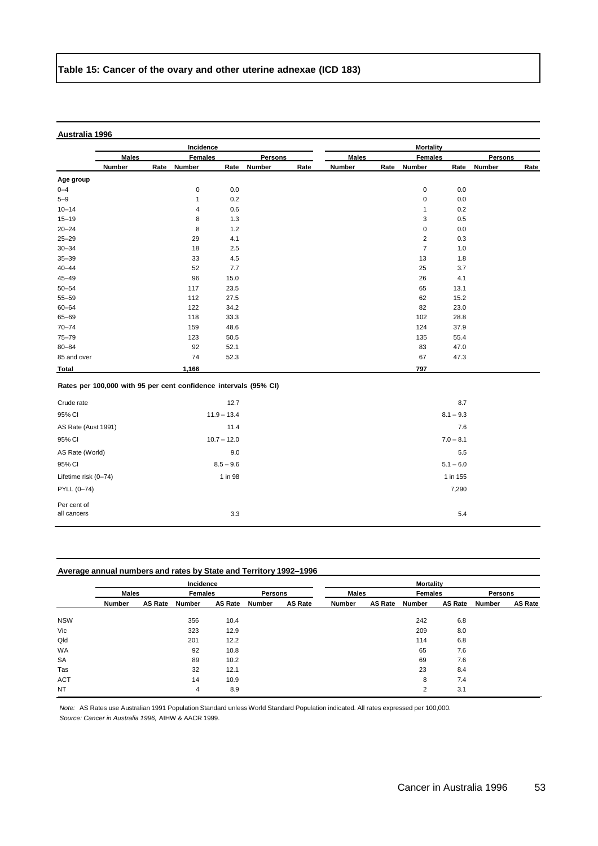|                      |               | Incidence                                                        |               |                |      |              |      | <b>Mortality</b> |             |        |      |
|----------------------|---------------|------------------------------------------------------------------|---------------|----------------|------|--------------|------|------------------|-------------|--------|------|
|                      | <b>Males</b>  | <b>Females</b>                                                   |               | <b>Persons</b> |      | <b>Males</b> |      | <b>Females</b>   | Persons     |        |      |
|                      | <b>Number</b> | Rate<br>Number                                                   | Rate          | <b>Number</b>  | Rate | Number       | Rate | Number           | Rate        | Number | Rate |
| Age group            |               |                                                                  |               |                |      |              |      |                  |             |        |      |
| $0 - 4$              |               | $\mathbf 0$                                                      | $0.0\,$       |                |      |              |      | $\mathbf 0$      | 0.0         |        |      |
| $5 - 9$              |               | $\mathbf{1}$                                                     | 0.2           |                |      |              |      | $\mathbf 0$      | 0.0         |        |      |
| $10 - 14$            |               | $\overline{4}$                                                   | 0.6           |                |      |              |      | 1                | 0.2         |        |      |
| $15 - 19$            |               | 8                                                                | 1.3           |                |      |              |      | 3                | 0.5         |        |      |
| $20 - 24$            |               | 8                                                                | $1.2$         |                |      |              |      | $\bf 0$          | 0.0         |        |      |
| $25 - 29$            |               | 29                                                               | 4.1           |                |      |              |      | $\overline{c}$   | 0.3         |        |      |
| $30 - 34$            |               | 18                                                               | 2.5           |                |      |              |      | $\overline{7}$   | 1.0         |        |      |
| $35 - 39$            |               | 33                                                               | 4.5           |                |      |              |      | 13               | 1.8         |        |      |
| $40 - 44$            |               | 52                                                               | 7.7           |                |      |              |      | 25               | 3.7         |        |      |
| $45 - 49$            |               | 96                                                               | 15.0          |                |      |              |      | 26               | 4.1         |        |      |
| $50 - 54$            |               | 117                                                              | 23.5          |                |      |              |      | 65               | 13.1        |        |      |
| $55 - 59$            |               | 112                                                              | 27.5          |                |      |              |      | 62               | 15.2        |        |      |
| $60 - 64$            |               | 122                                                              | 34.2          |                |      |              |      | 82               | 23.0        |        |      |
| 65-69                |               | 118                                                              | 33.3          |                |      |              |      | 102              | 28.8        |        |      |
| $70 - 74$            |               | 159                                                              | 48.6          |                |      |              |      | 124              | 37.9        |        |      |
| $75 - 79$            |               | 123                                                              | 50.5          |                |      |              |      | 135              | 55.4        |        |      |
| $80 - 84$            |               | 92                                                               | 52.1          |                |      |              |      | 83               | 47.0        |        |      |
| 85 and over          |               | 74                                                               | 52.3          |                |      |              |      | 67               | 47.3        |        |      |
| Total                |               | 1,166                                                            |               |                |      |              |      | 797              |             |        |      |
|                      |               | Rates per 100,000 with 95 per cent confidence intervals (95% CI) |               |                |      |              |      |                  |             |        |      |
| Crude rate           |               |                                                                  | 12.7          |                |      |              |      |                  | 8.7         |        |      |
| 95% CI               |               |                                                                  | $11.9 - 13.4$ |                |      |              |      |                  | $8.1 - 9.3$ |        |      |
| AS Rate (Aust 1991)  |               |                                                                  | 11.4          |                |      |              |      |                  | 7.6         |        |      |
| 95% CI               |               |                                                                  | $10.7 - 12.0$ |                |      |              |      |                  | $7.0 - 8.1$ |        |      |
| AS Rate (World)      |               |                                                                  | 9.0           |                |      |              |      |                  | 5.5         |        |      |
| 95% CI               |               |                                                                  | $8.5 - 9.6$   |                |      |              |      |                  | $5.1 - 6.0$ |        |      |
| Lifetime risk (0-74) |               |                                                                  | 1 in 98       |                |      |              |      |                  | 1 in 155    |        |      |
| PYLL (0-74)          |               |                                                                  |               |                |      |              |      |                  | 7,290       |        |      |
| Per cent of          |               |                                                                  |               |                |      |              |      |                  |             |        |      |
| all cancers          |               |                                                                  | 3.3           |                |      |              |      |                  | 5.4         |        |      |

| <b>Number</b> | <b>AS Rate</b> | Number       | AS Rate | Number                      | <b>AS Rate</b> | Number                                                                              | <b>AS Rate</b> | Number       | AS Rate | Number                             | <b>AS Rate</b> |
|---------------|----------------|--------------|---------|-----------------------------|----------------|-------------------------------------------------------------------------------------|----------------|--------------|---------|------------------------------------|----------------|
|               |                |              |         |                             |                |                                                                                     |                |              |         |                                    |                |
|               |                | 356          | 10.4    |                             |                |                                                                                     |                | 242          | 6.8     |                                    |                |
|               |                | 323          | 12.9    |                             |                |                                                                                     |                | 209          | 8.0     |                                    |                |
|               |                | 201          | 12.2    |                             |                |                                                                                     |                | 114          | 6.8     |                                    |                |
|               |                | 92           | 10.8    |                             |                |                                                                                     |                | 65           | 7.6     |                                    |                |
|               |                | <b>Males</b> |         | Incidence<br><b>Females</b> |                | Average annual numbers and rates by State and Territory 1992–1996<br><b>Persons</b> |                | <b>Males</b> |         | <b>Mortality</b><br><b>Females</b> | Persons        |

*Note:* AS Rates use Australian 1991 Population Standard unless World Standard Population indicated. All rates expressed per 100,000. *Source: Cancer in Australia 1996,* AIHW & AACR 1999.

SA 89 10.2 69 7.6 Tas 32 12.1 23 8.4 ACT 14 10.9 8 7.4 NT 2 3.1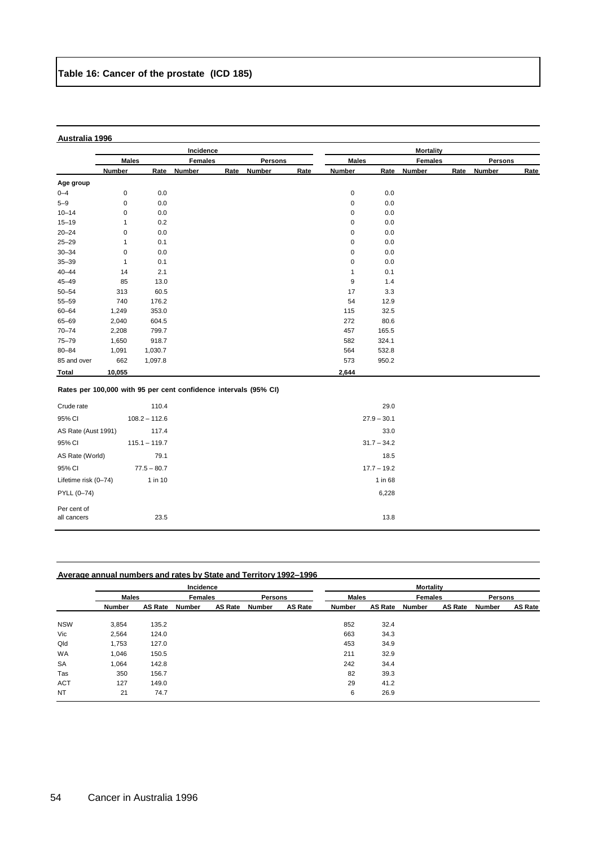|                                                                  |              |                 | Incidence      |      |               |      |              |               | <b>Mortality</b> |      |               |      |
|------------------------------------------------------------------|--------------|-----------------|----------------|------|---------------|------|--------------|---------------|------------------|------|---------------|------|
|                                                                  | <b>Males</b> |                 | <b>Females</b> |      | Persons       |      | <b>Males</b> |               | <b>Females</b>   |      | Persons       |      |
|                                                                  | Number       | Rate            | Number         | Rate | <b>Number</b> | Rate | Number       | Rate          | Number           | Rate | <b>Number</b> | Rate |
| Age group                                                        |              |                 |                |      |               |      |              |               |                  |      |               |      |
| $0 - 4$                                                          | $\pmb{0}$    | 0.0             |                |      |               |      | $\pmb{0}$    | 0.0           |                  |      |               |      |
| $5 - 9$                                                          | $\pmb{0}$    | 0.0             |                |      |               |      | $\pmb{0}$    | 0.0           |                  |      |               |      |
| $10 - 14$                                                        | 0            | 0.0             |                |      |               |      | 0            | 0.0           |                  |      |               |      |
| $15 - 19$                                                        | 1            | 0.2             |                |      |               |      | 0            | 0.0           |                  |      |               |      |
| $20 - 24$                                                        | $\mathbf 0$  | 0.0             |                |      |               |      | 0            | 0.0           |                  |      |               |      |
| $25 - 29$                                                        | $\mathbf{1}$ | 0.1             |                |      |               |      | 0            | 0.0           |                  |      |               |      |
| $30 - 34$                                                        | $\pmb{0}$    | 0.0             |                |      |               |      | $\pmb{0}$    | 0.0           |                  |      |               |      |
| $35 - 39$                                                        | $\mathbf{1}$ | 0.1             |                |      |               |      | 0            | $0.0\,$       |                  |      |               |      |
| $40 - 44$                                                        | 14           | 2.1             |                |      |               |      | $\mathbf{1}$ | 0.1           |                  |      |               |      |
| $45 - 49$                                                        | 85           | 13.0            |                |      |               |      | 9            | 1.4           |                  |      |               |      |
| $50 - 54$                                                        | 313          | 60.5            |                |      |               |      | 17           | 3.3           |                  |      |               |      |
| $55 - 59$                                                        | 740          | 176.2           |                |      |               |      | 54           | 12.9          |                  |      |               |      |
| $60 - 64$                                                        | 1,249        | 353.0           |                |      |               |      | 115          | 32.5          |                  |      |               |      |
| 65-69                                                            | 2,040        | 604.5           |                |      |               |      | 272          | 80.6          |                  |      |               |      |
| $70 - 74$                                                        | 2,208        | 799.7           |                |      |               |      | 457          | 165.5         |                  |      |               |      |
| $75 - 79$                                                        | 1,650        | 918.7           |                |      |               |      | 582          | 324.1         |                  |      |               |      |
| $80 - 84$                                                        | 1,091        | 1,030.7         |                |      |               |      | 564          | 532.8         |                  |      |               |      |
| 85 and over                                                      | 662          | 1,097.8         |                |      |               |      | 573          | 950.2         |                  |      |               |      |
| Total                                                            | 10,055       |                 |                |      |               |      | 2,644        |               |                  |      |               |      |
| Rates per 100,000 with 95 per cent confidence intervals (95% CI) |              |                 |                |      |               |      |              |               |                  |      |               |      |
| Crude rate                                                       |              | 110.4           |                |      |               |      |              | 29.0          |                  |      |               |      |
| 95% CI                                                           |              | $108.2 - 112.6$ |                |      |               |      |              | $27.9 - 30.1$ |                  |      |               |      |
| AS Rate (Aust 1991)                                              |              | 117.4           |                |      |               |      |              | 33.0          |                  |      |               |      |
| 95% CI                                                           |              | $115.1 - 119.7$ |                |      |               |      |              | $31.7 - 34.2$ |                  |      |               |      |
| AS Rate (World)                                                  |              | 79.1            |                |      |               |      |              | 18.5          |                  |      |               |      |
| 95% CI                                                           |              | $77.5 - 80.7$   |                |      |               |      |              | $17.7 - 19.2$ |                  |      |               |      |
| Lifetime risk (0-74)                                             |              | 1 in 10         |                |      |               |      |              | 1 in 68       |                  |      |               |      |
| PYLL (0-74)                                                      |              |                 |                |      |               |      |              | 6,228         |                  |      |               |      |
| Per cent of<br>all cancers                                       |              | 23.5            |                |      |               |      |              | 13.8          |                  |      |               |      |

| Average annual numbers and rates by State and Territory 1992–1996 |  |
|-------------------------------------------------------------------|--|
|                                                                   |  |

|            |               |                | Incidence      |                |                |                | <b>Mortality</b> |                |                |                |         |                |  |  |
|------------|---------------|----------------|----------------|----------------|----------------|----------------|------------------|----------------|----------------|----------------|---------|----------------|--|--|
|            | <b>Males</b>  |                | <b>Females</b> |                | <b>Persons</b> |                | <b>Males</b>     |                | <b>Females</b> |                | Persons |                |  |  |
|            | <b>Number</b> | <b>AS Rate</b> | <b>Number</b>  | <b>AS Rate</b> | Number         | <b>AS Rate</b> | Number           | <b>AS Rate</b> | Number         | <b>AS Rate</b> | Number  | <b>AS Rate</b> |  |  |
| <b>NSW</b> | 3,854         | 135.2          |                |                |                |                | 852              | 32.4           |                |                |         |                |  |  |
| Vic        | 2,564         | 124.0          |                |                |                |                | 663              | 34.3           |                |                |         |                |  |  |
| Qld        | 1,753         | 127.0          |                |                |                |                | 453              | 34.9           |                |                |         |                |  |  |
| <b>WA</b>  | 1,046         | 150.5          |                |                |                |                | 211              | 32.9           |                |                |         |                |  |  |
| SA         | 1,064         | 142.8          |                |                |                |                | 242              | 34.4           |                |                |         |                |  |  |
| Tas        | 350           | 156.7          |                |                |                |                | 82               | 39.3           |                |                |         |                |  |  |
| <b>ACT</b> | 127           | 149.0          |                |                |                |                | 29               | 41.2           |                |                |         |                |  |  |
| <b>NT</b>  | 21            | 74.7           |                |                |                |                | 6                | 26.9           |                |                |         |                |  |  |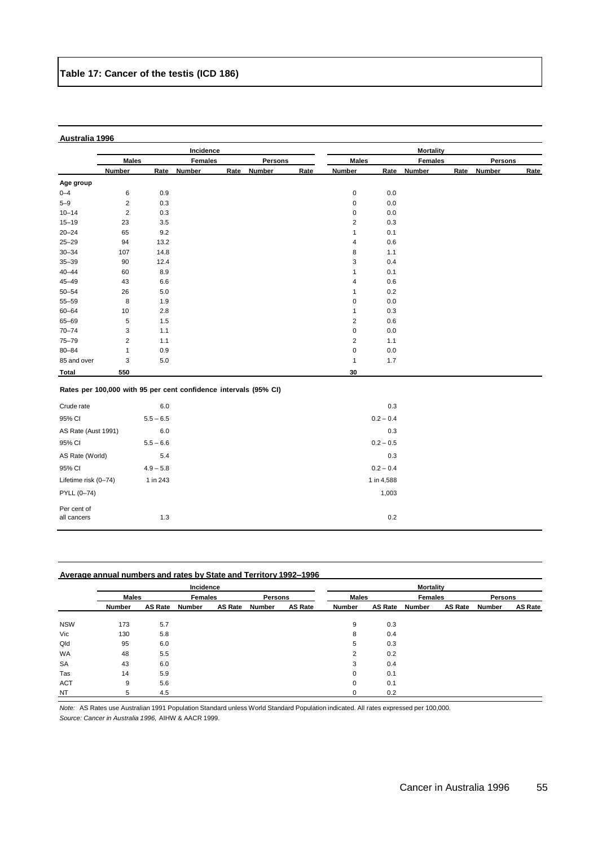|                            |              |             | Incidence                                                        |      |               |      |                         |             | <b>Mortality</b> |      |                |      |
|----------------------------|--------------|-------------|------------------------------------------------------------------|------|---------------|------|-------------------------|-------------|------------------|------|----------------|------|
|                            | <b>Males</b> |             | <b>Females</b>                                                   |      | Persons       |      | <b>Males</b>            |             | <b>Females</b>   |      | <b>Persons</b> |      |
|                            | Number       | Rate        | <b>Number</b>                                                    | Rate | <b>Number</b> | Rate | Number                  | Rate        | <b>Number</b>    | Rate | <b>Number</b>  | Rate |
| Age group                  |              |             |                                                                  |      |               |      |                         |             |                  |      |                |      |
| $0 - 4$                    | 6            | 0.9         |                                                                  |      |               |      | $\pmb{0}$               | 0.0         |                  |      |                |      |
| $5 - 9$                    | $\sqrt{2}$   | 0.3         |                                                                  |      |               |      | $\pmb{0}$               | 0.0         |                  |      |                |      |
| $10 - 14$                  | $\sqrt{2}$   | 0.3         |                                                                  |      |               |      | 0                       | 0.0         |                  |      |                |      |
| $15 - 19$                  | 23           | $3.5\,$     |                                                                  |      |               |      | 2                       | 0.3         |                  |      |                |      |
| $20 - 24$                  | 65           | 9.2         |                                                                  |      |               |      | $\mathbf{1}$            | 0.1         |                  |      |                |      |
| $25 - 29$                  | 94           | 13.2        |                                                                  |      |               |      | 4                       | 0.6         |                  |      |                |      |
| $30 - 34$                  | 107          | 14.8        |                                                                  |      |               |      | 8                       | 1.1         |                  |      |                |      |
| $35 - 39$                  | 90           | 12.4        |                                                                  |      |               |      | 3                       | 0.4         |                  |      |                |      |
| $40 - 44$                  | 60           | 8.9         |                                                                  |      |               |      | 1                       | 0.1         |                  |      |                |      |
| $45 - 49$                  | 43           | 6.6         |                                                                  |      |               |      | 4                       | 0.6         |                  |      |                |      |
| $50 - 54$                  | 26           | 5.0         |                                                                  |      |               |      | $\mathbf{1}$            | 0.2         |                  |      |                |      |
| 55-59                      | 8            | 1.9         |                                                                  |      |               |      | 0                       | 0.0         |                  |      |                |      |
| $60 - 64$                  | 10           | $2.8\,$     |                                                                  |      |               |      | $\mathbf{1}$            | 0.3         |                  |      |                |      |
| 65-69                      | 5            | 1.5         |                                                                  |      |               |      | $\overline{2}$          | 0.6         |                  |      |                |      |
| $70 - 74$                  | 3            | 1.1         |                                                                  |      |               |      | 0                       | 0.0         |                  |      |                |      |
| 75-79                      | $\sqrt{2}$   | 1.1         |                                                                  |      |               |      | $\overline{\mathbf{c}}$ | 1.1         |                  |      |                |      |
| $80 - 84$                  | $\mathbf{1}$ | 0.9         |                                                                  |      |               |      | $\pmb{0}$               | 0.0         |                  |      |                |      |
| 85 and over                | 3            | $5.0\,$     |                                                                  |      |               |      | $\mathbf{1}$            | 1.7         |                  |      |                |      |
| Total                      | 550          |             |                                                                  |      |               |      | 30                      |             |                  |      |                |      |
|                            |              |             | Rates per 100,000 with 95 per cent confidence intervals (95% CI) |      |               |      |                         |             |                  |      |                |      |
| Crude rate                 |              | $6.0\,$     |                                                                  |      |               |      |                         | 0.3         |                  |      |                |      |
| 95% CI                     |              | $5.5 - 6.5$ |                                                                  |      |               |      |                         | $0.2 - 0.4$ |                  |      |                |      |
| AS Rate (Aust 1991)        |              | 6.0         |                                                                  |      |               |      |                         | 0.3         |                  |      |                |      |
| 95% CI                     |              | $5.5 - 6.6$ |                                                                  |      |               |      |                         | $0.2 - 0.5$ |                  |      |                |      |
| AS Rate (World)            |              | 5.4         |                                                                  |      |               |      |                         | 0.3         |                  |      |                |      |
| 95% CI                     |              | $4.9 - 5.8$ |                                                                  |      |               |      |                         | $0.2 - 0.4$ |                  |      |                |      |
| Lifetime risk (0-74)       |              | 1 in 243    |                                                                  |      |               |      |                         | 1 in 4,588  |                  |      |                |      |
| PYLL (0-74)                |              |             |                                                                  |      |               |      |                         | 1,003       |                  |      |                |      |
| Per cent of<br>all cancers |              | 1.3         |                                                                  |      |               |      |                         | 0.2         |                  |      |                |      |

| Average annual numbers and rates by State and Territory 1992–1996 |  |
|-------------------------------------------------------------------|--|
|                                                                   |  |

|            |              |                | Incidence      |                |         |                | <b>Mortality</b> |                |                |                |         |                |  |
|------------|--------------|----------------|----------------|----------------|---------|----------------|------------------|----------------|----------------|----------------|---------|----------------|--|
|            | <b>Males</b> |                | <b>Females</b> |                | Persons |                | <b>Males</b>     |                | <b>Females</b> |                | Persons |                |  |
|            | Number       | <b>AS Rate</b> | Number         | <b>AS Rate</b> | Number  | <b>AS Rate</b> | Number           | <b>AS Rate</b> | Number         | <b>AS Rate</b> | Number  | <b>AS Rate</b> |  |
| <b>NSW</b> | 173          | 5.7            |                |                |         |                | 9                | 0.3            |                |                |         |                |  |
| Vic        | 130          | 5.8            |                |                |         |                | 8                | 0.4            |                |                |         |                |  |
| Qld        | 95           | 6.0            |                |                |         |                | 5                | 0.3            |                |                |         |                |  |
| <b>WA</b>  | 48           | 5.5            |                |                |         |                | 2                | 0.2            |                |                |         |                |  |
| <b>SA</b>  | 43           | 6.0            |                |                |         |                | 3                | 0.4            |                |                |         |                |  |
| Tas        | 14           | 5.9            |                |                |         |                | 0                | 0.1            |                |                |         |                |  |
| <b>ACT</b> | 9            | 5.6            |                |                |         |                | 0                | 0.1            |                |                |         |                |  |
| NT         | 5            | 4.5            |                |                |         |                |                  | 0.2            |                |                |         |                |  |

*Note:* AS Rates use Australian 1991 Population Standard unless World Standard Population indicated. All rates expressed per 100,000.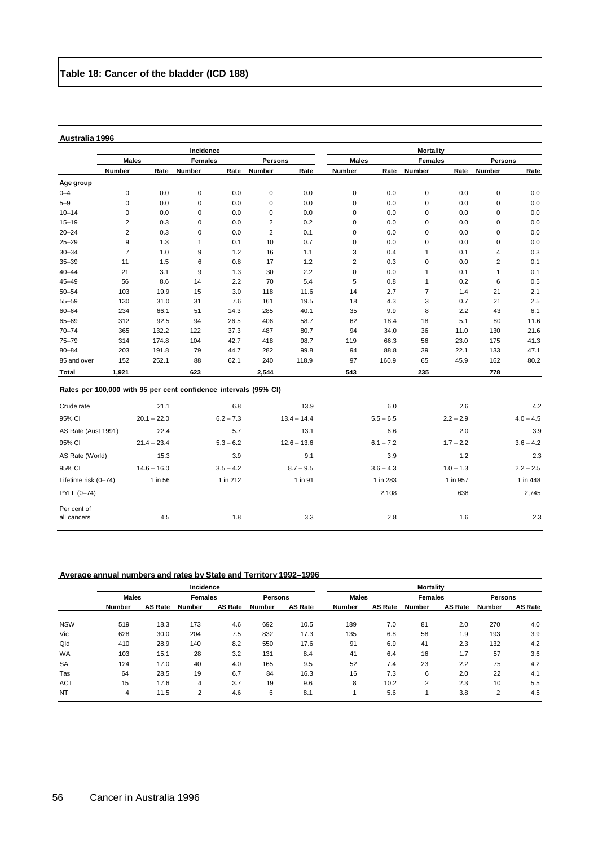|                                                                  |                |               | Incidence      |             |                |               |                |             | <b>Mortality</b> |             |                |             |
|------------------------------------------------------------------|----------------|---------------|----------------|-------------|----------------|---------------|----------------|-------------|------------------|-------------|----------------|-------------|
|                                                                  | <b>Males</b>   |               | <b>Females</b> |             | <b>Persons</b> |               | <b>Males</b>   |             | <b>Females</b>   |             | Persons        |             |
|                                                                  | Number         | Rate          | <b>Number</b>  | Rate        | <b>Number</b>  | Rate          | <b>Number</b>  | Rate        | <b>Number</b>    | Rate        | <b>Number</b>  | Rate        |
| Age group                                                        |                |               |                |             |                |               |                |             |                  |             |                |             |
| $0 - 4$                                                          | 0              | 0.0           | $\mathbf 0$    | 0.0         | 0              | 0.0           | 0              | 0.0         | $\mathbf 0$      | 0.0         | $\mathsf 0$    | 0.0         |
| $5 - 9$                                                          | $\pmb{0}$      | 0.0           | 0              | 0.0         | $\mathsf 0$    | 0.0           | $\mathbf 0$    | 0.0         | $\mathbf 0$      | 0.0         | $\mathbf 0$    | $0.0\,$     |
| $10 - 14$                                                        | 0              | 0.0           | 0              | 0.0         | $\mathsf 0$    | 0.0           | $\pmb{0}$      | 0.0         | $\pmb{0}$        | 0.0         | $\mathsf 0$    | 0.0         |
| $15 - 19$                                                        | $\overline{2}$ | 0.3           | 0              | 0.0         | $\overline{2}$ | 0.2           | $\pmb{0}$      | 0.0         | $\pmb{0}$        | 0.0         | $\mathsf 0$    | 0.0         |
| $20 - 24$                                                        | $\overline{2}$ | 0.3           | 0              | 0.0         | 2              | 0.1           | $\mathbf 0$    | 0.0         | $\mathbf 0$      | 0.0         | $\mathsf 0$    | 0.0         |
| $25 - 29$                                                        | 9              | 1.3           | $\mathbf{1}$   | 0.1         | 10             | 0.7           | $\pmb{0}$      | 0.0         | 0                | 0.0         | 0              | 0.0         |
| $30 - 34$                                                        | $\overline{7}$ | 1.0           | 9              | 1.2         | 16             | 1.1           | 3              | 0.4         | $\mathbf{1}$     | 0.1         | 4              | 0.3         |
| $35 - 39$                                                        | 11             | 1.5           | 6              | 0.8         | 17             | 1.2           | $\overline{2}$ | 0.3         | $\mathbf 0$      | 0.0         | $\overline{2}$ | 0.1         |
| $40 - 44$                                                        | 21             | 3.1           | 9              | 1.3         | 30             | 2.2           | $\mathbf 0$    | 0.0         | $\mathbf{1}$     | 0.1         | $\mathbf{1}$   | 0.1         |
| $45 - 49$                                                        | 56             | 8.6           | 14             | 2.2         | 70             | 5.4           | 5              | 0.8         | $\mathbf{1}$     | 0.2         | 6              | 0.5         |
| $50 - 54$                                                        | 103            | 19.9          | 15             | 3.0         | 118            | 11.6          | 14             | 2.7         | $\overline{7}$   | 1.4         | 21             | 2.1         |
| 55-59                                                            | 130            | 31.0          | 31             | 7.6         | 161            | 19.5          | 18             | 4.3         | 3                | 0.7         | 21             | 2.5         |
| $60 - 64$                                                        | 234            | 66.1          | 51             | 14.3        | 285            | 40.1          | 35             | 9.9         | 8                | 2.2         | 43             | 6.1         |
| 65-69                                                            | 312            | 92.5          | 94             | 26.5        | 406            | 58.7          | 62             | 18.4        | 18               | 5.1         | 80             | 11.6        |
| $70 - 74$                                                        | 365            | 132.2         | 122            | 37.3        | 487            | 80.7          | 94             | 34.0        | 36               | 11.0        | 130            | 21.6        |
| $75 - 79$                                                        | 314            | 174.8         | 104            | 42.7        | 418            | 98.7          | 119            | 66.3        | 56               | 23.0        | 175            | 41.3        |
| $80 - 84$                                                        | 203            | 191.8         | 79             | 44.7        | 282            | 99.8          | 94             | 88.8        | 39               | 22.1        | 133            | 47.1        |
| 85 and over                                                      | 152            | 252.1         | 88             | 62.1        | 240            | 118.9         | 97             | 160.9       | 65               | 45.9        | 162            | 80.2        |
| Total                                                            | 1,921          |               | 623            |             | 2,544          |               | 543            |             | 235              |             | 778            |             |
| Rates per 100,000 with 95 per cent confidence intervals (95% CI) |                |               |                |             |                |               |                |             |                  |             |                |             |
| Crude rate                                                       |                | 21.1          |                | 6.8         |                | 13.9          |                | 6.0         |                  | 2.6         |                | 4.2         |
| 95% CI                                                           |                | $20.1 - 22.0$ |                | $6.2 - 7.3$ |                | $13.4 - 14.4$ |                | $5.5 - 6.5$ |                  | $2.2 - 2.9$ |                | $4.0 - 4.5$ |
| AS Rate (Aust 1991)                                              |                | 22.4          |                | 5.7         |                | 13.1          |                | 6.6         |                  | 2.0         |                | 3.9         |
| 95% CI                                                           |                | $21.4 - 23.4$ |                | $5.3 - 6.2$ |                | $12.6 - 13.6$ |                | $6.1 - 7.2$ |                  | $1.7 - 2.2$ |                | $3.6 - 4.2$ |
| AS Rate (World)                                                  |                | 15.3          |                | 3.9         |                | 9.1           |                | 3.9         |                  | 1.2         |                | 2.3         |
| 95% CI                                                           |                | $14.6 - 16.0$ |                | $3.5 - 4.2$ |                | $8.7 - 9.5$   |                | $3.6 - 4.3$ |                  | $1.0 - 1.3$ |                | $2.2 - 2.5$ |
| Lifetime risk (0-74)                                             |                | 1 in 56       |                | 1 in 212    |                | 1 in 91       |                | 1 in 283    |                  | 1 in 957    |                | 1 in 448    |
| PYLL (0-74)                                                      |                |               |                |             |                |               |                | 2,108       |                  | 638         |                | 2,745       |
| Per cent of<br>all cancers                                       |                | 4.5           |                | 1.8         |                | 3.3           |                | 2.8         |                  | 1.6         |                | 2.3         |

#### **Average annual numbers and rates by State and Territory 1992–1996**

|            |               |         | Incidence     |                |        |                | <b>Mortality</b> |                |        |                |                |                |  |
|------------|---------------|---------|---------------|----------------|--------|----------------|------------------|----------------|--------|----------------|----------------|----------------|--|
|            | <b>Males</b>  |         |               | <b>Females</b> |        | Persons        |                  | <b>Males</b>   |        | <b>Females</b> | <b>Persons</b> |                |  |
|            | <b>Number</b> | AS Rate | <b>Number</b> | AS Rate        | Number | <b>AS Rate</b> | <b>Number</b>    | <b>AS Rate</b> | Number | <b>AS Rate</b> | <b>Number</b>  | <b>AS Rate</b> |  |
| <b>NSW</b> | 519           | 18.3    | 173           | 4.6            | 692    | 10.5           | 189              | 7.0            | 81     | 2.0            | 270            | 4.0            |  |
| Vic        | 628           | 30.0    | 204           | 7.5            | 832    | 17.3           | 135              | 6.8            | 58     | 1.9            | 193            | 3.9            |  |
| Qld        | 410           | 28.9    | 140           | 8.2            | 550    | 17.6           | 91               | 6.9            | 41     | 2.3            | 132            | 4.2            |  |
| <b>WA</b>  | 103           | 15.1    | 28            | 3.2            | 131    | 8.4            | 41               | 6.4            | 16     | 1.7            | 57             | 3.6            |  |
| <b>SA</b>  | 124           | 17.0    | 40            | 4.0            | 165    | 9.5            | 52               | 7.4            | 23     | 2.2            | 75             | 4.2            |  |
| Tas        | 64            | 28.5    | 19            | 6.7            | 84     | 16.3           | 16               | 7.3            | 6      | 2.0            | 22             | 4.1            |  |
| <b>ACT</b> | 15            | 17.6    | 4             | 3.7            | 19     | 9.6            | 8                | 10.2           | 2      | 2.3            | 10             | 5.5            |  |
| <b>NT</b>  | 4             | 11.5    | 2             | 4.6            | 6      | 8.1            |                  | 5.6            |        | 3.8            | 2              | 4.5            |  |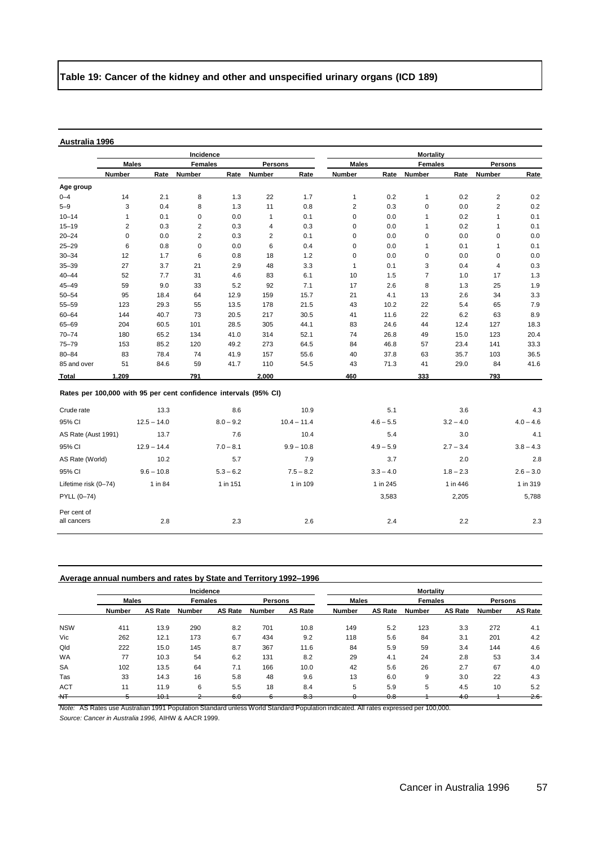# **Table 19: Cancer of the kidney and other and unspecified urinary organs (ICD 189)**

# **Australia 1996**

|                                                                  |                |               | Incidence      |             |                |               |                |             | <b>Mortality</b> |             |                |             |
|------------------------------------------------------------------|----------------|---------------|----------------|-------------|----------------|---------------|----------------|-------------|------------------|-------------|----------------|-------------|
|                                                                  | <b>Males</b>   |               | <b>Females</b> |             | <b>Persons</b> |               | <b>Males</b>   |             | <b>Females</b>   |             | <b>Persons</b> |             |
|                                                                  | <b>Number</b>  | Rate          | Number         | Rate        | Number         | Rate          | Number         |             | Rate Number      | Rate        | Number         | Rate        |
| Age group                                                        |                |               |                |             |                |               |                |             |                  |             |                |             |
| $0 - 4$                                                          | 14             | 2.1           | 8              | 1.3         | 22             | 1.7           | $\mathbf{1}$   | 0.2         | 1                | 0.2         | $\overline{2}$ | 0.2         |
| $5 - 9$                                                          | 3              | 0.4           | 8              | 1.3         | 11             | 0.8           | $\overline{2}$ | 0.3         | $\mathbf 0$      | 0.0         | $\overline{c}$ | 0.2         |
| $10 - 14$                                                        | $\mathbf{1}$   | 0.1           | 0              | 0.0         | $\mathbf{1}$   | 0.1           | $\pmb{0}$      | 0.0         | 1                | 0.2         | $\mathbf 1$    | 0.1         |
| $15 - 19$                                                        | $\overline{2}$ | 0.3           | $\overline{2}$ | 0.3         | 4              | 0.3           | $\pmb{0}$      | 0.0         | $\mathbf{1}$     | 0.2         | $\mathbf{1}$   | 0.1         |
| $20 - 24$                                                        | $\mathbf 0$    | 0.0           | $\overline{2}$ | 0.3         | $\overline{2}$ | 0.1           | $\pmb{0}$      | 0.0         | 0                | 0.0         | 0              | 0.0         |
| $25 - 29$                                                        | 6              | 0.8           | 0              | 0.0         | 6              | 0.4           | $\pmb{0}$      | 0.0         | $\mathbf{1}$     | 0.1         | $\mathbf 1$    | 0.1         |
| $30 - 34$                                                        | 12             | 1.7           | 6              | 0.8         | 18             | 1.2           | $\mathbf 0$    | 0.0         | 0                | 0.0         | $\mathbf 0$    | 0.0         |
| $35 - 39$                                                        | 27             | 3.7           | 21             | 2.9         | 48             | 3.3           | 1              | 0.1         | 3                | 0.4         | 4              | 0.3         |
| $40 - 44$                                                        | 52             | 7.7           | 31             | 4.6         | 83             | 6.1           | 10             | 1.5         | $\overline{7}$   | 1.0         | 17             | 1.3         |
| $45 - 49$                                                        | 59             | 9.0           | 33             | 5.2         | 92             | 7.1           | 17             | 2.6         | 8                | 1.3         | 25             | 1.9         |
| $50 - 54$                                                        | 95             | 18.4          | 64             | 12.9        | 159            | 15.7          | 21             | 4.1         | 13               | 2.6         | 34             | 3.3         |
| 55-59                                                            | 123            | 29.3          | 55             | 13.5        | 178            | 21.5          | 43             | 10.2        | 22               | 5.4         | 65             | 7.9         |
| $60 - 64$                                                        | 144            | 40.7          | 73             | 20.5        | 217            | 30.5          | 41             | 11.6        | 22               | 6.2         | 63             | 8.9         |
| 65-69                                                            | 204            | 60.5          | 101            | 28.5        | 305            | 44.1          | 83             | 24.6        | 44               | 12.4        | 127            | 18.3        |
| $70 - 74$                                                        | 180            | 65.2          | 134            | 41.0        | 314            | 52.1          | 74             | 26.8        | 49               | 15.0        | 123            | 20.4        |
| $75 - 79$                                                        | 153            | 85.2          | 120            | 49.2        | 273            | 64.5          | 84             | 46.8        | 57               | 23.4        | 141            | 33.3        |
| $80 - 84$                                                        | 83             | 78.4          | 74             | 41.9        | 157            | 55.6          | 40             | 37.8        | 63               | 35.7        | 103            | 36.5        |
| 85 and over                                                      | 51             | 84.6          | 59             | 41.7        | 110            | 54.5          | 43             | 71.3        | 41               | 29.0        | 84             | 41.6        |
| Total                                                            | 1,209          |               | 791            |             | 2,000          |               | 460            |             | 333              |             | 793            |             |
| Rates per 100,000 with 95 per cent confidence intervals (95% CI) |                |               |                |             |                |               |                |             |                  |             |                |             |
| Crude rate                                                       |                | 13.3          |                | 8.6         |                | 10.9          |                | 5.1         |                  | 3.6         |                | 4.3         |
| 95% CI                                                           |                | $12.5 - 14.0$ |                | $8.0 - 9.2$ |                | $10.4 - 11.4$ |                | $4.6 - 5.5$ |                  | $3.2 - 4.0$ |                | $4.0 - 4.6$ |
| AS Rate (Aust 1991)                                              |                | 13.7          |                | 7.6         |                | 10.4          |                | 5.4         |                  | 3.0         |                | 4.1         |
| 95% CI                                                           |                | $12.9 - 14.4$ |                | $7.0 - 8.1$ |                | $9.9 - 10.8$  |                | $4.9 - 5.9$ |                  | $2.7 - 3.4$ |                | $3.8 - 4.3$ |
| AS Rate (World)                                                  |                | 10.2          |                | 5.7         |                | 7.9           |                | 3.7         |                  | 2.0         |                | 2.8         |
| 95% CI                                                           |                | $9.6 - 10.8$  |                | $5.3 - 6.2$ |                | $7.5 - 8.2$   |                | $3.3 - 4.0$ |                  | $1.8 - 2.3$ |                | $2.6 - 3.0$ |
| Lifetime risk (0-74)                                             |                | 1 in 84       |                | 1 in 151    |                | 1 in 109      |                | 1 in 245    |                  | 1 in 446    |                | 1 in 319    |
| PYLL (0-74)                                                      |                |               |                |             |                |               |                | 3,583       |                  | 2,205       |                | 5,788       |
| Per cent of                                                      |                |               |                |             |                |               |                |             |                  |             |                |             |

#### **Average annual numbers and rates by State and Territory 1992–1996**

|            |               |                | Incidence      |                      |                |                |              |                | <b>Mortality</b> |                |                |                |
|------------|---------------|----------------|----------------|----------------------|----------------|----------------|--------------|----------------|------------------|----------------|----------------|----------------|
|            | <b>Males</b>  |                | <b>Females</b> |                      | <b>Persons</b> |                | <b>Males</b> |                | <b>Females</b>   |                | <b>Persons</b> |                |
|            | <b>Number</b> | <b>AS Rate</b> | <b>Number</b>  | AS Rate              | <b>Number</b>  | <b>AS Rate</b> | Number       | <b>AS Rate</b> | Number           | <b>AS Rate</b> | <b>Number</b>  | <b>AS Rate</b> |
| <b>NSW</b> | 411           | 13.9           | 290            | 8.2                  | 701            | 10.8           | 149          | 5.2            | 123              | 3.3            | 272            | 4.1            |
| Vic        | 262           | 12.1           | 173            | 6.7                  | 434            | 9.2            | 118          | 5.6            | 84               | 3.1            | 201            | 4.2            |
| Qld        | 222           | 15.0           | 145            | 8.7                  | 367            | 11.6           | 84           | 5.9            | 59               | 3.4            | 144            | 4.6            |
| <b>WA</b>  | 77            | 10.3           | 54             | 6.2                  | 131            | 8.2            | 29           | 4.1            | 24               | 2.8            | 53             | 3.4            |
| <b>SA</b>  | 102           | 13.5           | 64             | 7.1                  | 166            | 10.0           | 42           | 5.6            | 26               | 2.7            | 67             | 4.0            |
| Tas        | 33            | 14.3           | 16             | 5.8                  | 48             | 9.6            | 13           | 6.0            | 9                | 3.0            | 22             | 4.3            |
| <b>ACT</b> | 11            | 11.9           | 6              | 5.5                  | 18             | 8.4            | 5            | 5.9            | 5                | 4.5            | 10             | 5.2            |
| H          |               | 40.4<br>ד.ס    |                | $\sim$ $\sim$<br>ত.ত |                | - -<br>თთ      |              | $\sim$<br>v.o  |                  | 4.0            |                | 2.6            |

all cancers 2.8 2.3 2.6 2.4 2.2 2.3

*Note:* AS Rates use Australian 1991 Population Standard unless World Standard Population indicated. All rates expressed per 100,000.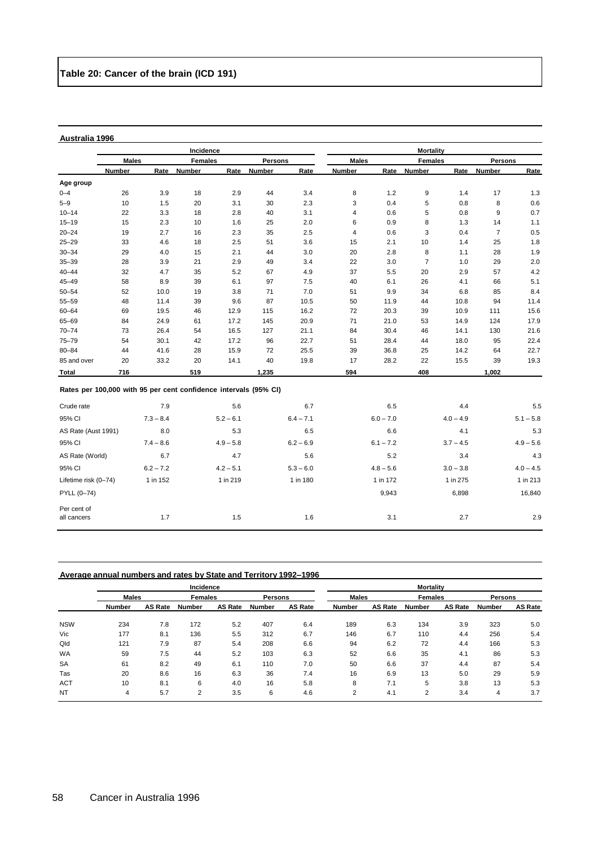|                                                                  |              |             | Incidence      |             |               |             |                |             | <b>Mortality</b> |             |                |             |
|------------------------------------------------------------------|--------------|-------------|----------------|-------------|---------------|-------------|----------------|-------------|------------------|-------------|----------------|-------------|
|                                                                  | <b>Males</b> |             | <b>Females</b> |             | Persons       |             | <b>Males</b>   |             | <b>Females</b>   |             | Persons        |             |
|                                                                  | Number       | Rate        | <b>Number</b>  | Rate        | <b>Number</b> | Rate        | <b>Number</b>  | Rate        | Number           | Rate        | <b>Number</b>  | Rate        |
| Age group                                                        |              |             |                |             |               |             |                |             |                  |             |                |             |
| $0 - 4$                                                          | 26           | 3.9         | 18             | 2.9         | 44            | 3.4         | 8              | 1.2         | 9                | 1.4         | 17             | 1.3         |
| $5 - 9$                                                          | 10           | 1.5         | 20             | 3.1         | 30            | 2.3         | 3              | 0.4         | 5                | 0.8         | 8              | 0.6         |
| $10 - 14$                                                        | 22           | 3.3         | 18             | 2.8         | 40            | 3.1         | 4              | 0.6         | 5                | 0.8         | 9              | 0.7         |
| $15 - 19$                                                        | 15           | 2.3         | 10             | 1.6         | 25            | 2.0         | 6              | 0.9         | 8                | 1.3         | 14             | 1.1         |
| $20 - 24$                                                        | 19           | 2.7         | 16             | 2.3         | 35            | 2.5         | $\overline{4}$ | 0.6         | 3                | 0.4         | $\overline{7}$ | 0.5         |
| $25 - 29$                                                        | 33           | 4.6         | 18             | 2.5         | 51            | 3.6         | 15             | 2.1         | 10               | 1.4         | 25             | 1.8         |
| $30 - 34$                                                        | 29           | 4.0         | 15             | 2.1         | 44            | 3.0         | 20             | 2.8         | 8                | 1.1         | 28             | 1.9         |
| $35 - 39$                                                        | 28           | 3.9         | 21             | 2.9         | 49            | 3.4         | 22             | 3.0         | $\overline{7}$   | 1.0         | 29             | 2.0         |
| $40 - 44$                                                        | 32           | 4.7         | 35             | 5.2         | 67            | 4.9         | 37             | 5.5         | 20               | 2.9         | 57             | 4.2         |
| $45 - 49$                                                        | 58           | 8.9         | 39             | 6.1         | 97            | 7.5         | 40             | 6.1         | 26               | 4.1         | 66             | 5.1         |
| $50 - 54$                                                        | 52           | 10.0        | 19             | 3.8         | 71            | 7.0         | 51             | 9.9         | 34               | 6.8         | 85             | 8.4         |
| 55-59                                                            | 48           | 11.4        | 39             | 9.6         | 87            | 10.5        | 50             | 11.9        | 44               | 10.8        | 94             | 11.4        |
| $60 - 64$                                                        | 69           | 19.5        | 46             | 12.9        | 115           | 16.2        | 72             | 20.3        | 39               | 10.9        | 111            | 15.6        |
| 65-69                                                            | 84           | 24.9        | 61             | 17.2        | 145           | 20.9        | 71             | 21.0        | 53               | 14.9        | 124            | 17.9        |
| $70 - 74$                                                        | 73           | 26.4        | 54             | 16.5        | 127           | 21.1        | 84             | 30.4        | 46               | 14.1        | 130            | 21.6        |
| 75-79                                                            | 54           | 30.1        | 42             | 17.2        | 96            | 22.7        | 51             | 28.4        | 44               | 18.0        | 95             | 22.4        |
| $80 - 84$                                                        | 44           | 41.6        | 28             | 15.9        | 72            | 25.5        | 39             | 36.8        | 25               | 14.2        | 64             | 22.7        |
| 85 and over                                                      | 20           | 33.2        | 20             | 14.1        | 40            | 19.8        | 17             | 28.2        | 22               | 15.5        | 39             | 19.3        |
| <b>Total</b>                                                     | 716          |             | 519            |             | 1,235         |             | 594            |             | 408              |             | 1,002          |             |
| Rates per 100,000 with 95 per cent confidence intervals (95% CI) |              |             |                |             |               |             |                |             |                  |             |                |             |
| Crude rate                                                       |              | 7.9         |                | 5.6         |               | 6.7         |                | 6.5         |                  | 4.4         |                | 5.5         |
| 95% CI                                                           |              | $7.3 - 8.4$ |                | $5.2 - 6.1$ |               | $6.4 - 7.1$ |                | $6.0 - 7.0$ |                  | $4.0 - 4.9$ |                | $5.1 - 5.8$ |
| AS Rate (Aust 1991)                                              |              | 8.0         |                | 5.3         |               | 6.5         |                | 6.6         |                  | 4.1         |                | 5.3         |
| 95% CI                                                           |              | $7.4 - 8.6$ |                | $4.9 - 5.8$ |               | $6.2 - 6.9$ |                | $6.1 - 7.2$ |                  | $3.7 - 4.5$ |                | $4.9 - 5.6$ |
| AS Rate (World)                                                  |              | 6.7         |                | 4.7         |               | 5.6         |                | 5.2         |                  | 3.4         |                | 4.3         |
| 95% CI                                                           |              | $6.2 - 7.2$ |                | $4.2 - 5.1$ |               | $5.3 - 6.0$ |                | $4.8 - 5.6$ |                  | $3.0 - 3.8$ |                | $4.0 - 4.5$ |
| Lifetime risk (0-74)                                             |              | 1 in 152    |                | 1 in 219    |               | 1 in 180    |                | 1 in 172    |                  | 1 in 275    |                | 1 in 213    |
| PYLL (0-74)                                                      |              |             |                |             |               |             |                | 9,943       |                  | 6,898       |                | 16,840      |
| Per cent of<br>all cancers                                       |              | 1.7         |                | 1.5         |               | 1.6         |                | 3.1         |                  | 2.7         |                | 2.9         |

# **Average annual numbers and rates by State and Territory 1992–1996**

|            |               |                | Incidence      |                |               |                |              |                | <b>Mortality</b> |                |               |                |
|------------|---------------|----------------|----------------|----------------|---------------|----------------|--------------|----------------|------------------|----------------|---------------|----------------|
|            | <b>Males</b>  |                | <b>Females</b> |                | Persons       |                | <b>Males</b> |                | <b>Females</b>   |                | Persons       |                |
|            | <b>Number</b> | <b>AS Rate</b> | Number         | <b>AS Rate</b> | <b>Number</b> | <b>AS Rate</b> | Number       | <b>AS Rate</b> | <b>Number</b>    | <b>AS Rate</b> | <b>Number</b> | <b>AS Rate</b> |
| <b>NSW</b> | 234           | 7.8            | 172            | 5.2            | 407           | 6.4            | 189          | 6.3            | 134              | 3.9            | 323           | 5.0            |
| Vic        | 177           | 8.1            | 136            | 5.5            | 312           | 6.7            | 146          | 6.7            | 110              | 4.4            | 256           | 5.4            |
| Qld        | 121           | 7.9            | 87             | 5.4            | 208           | 6.6            | 94           | 6.2            | 72               | 4.4            | 166           | 5.3            |
| <b>WA</b>  | 59            | 7.5            | 44             | 5.2            | 103           | 6.3            | 52           | 6.6            | 35               | 4.1            | 86            | 5.3            |
| <b>SA</b>  | 61            | 8.2            | 49             | 6.1            | 110           | 7.0            | 50           | 6.6            | 37               | 4.4            | 87            | 5.4            |
| Tas        | 20            | 8.6            | 16             | 6.3            | 36            | 7.4            | 16           | 6.9            | 13               | 5.0            | 29            | 5.9            |
| <b>ACT</b> | 10            | 8.1            | 6              | 4.0            | 16            | 5.8            | 8            | 7.1            | 5                | 3.8            | 13            | 5.3            |
| <b>NT</b>  | 4             | 5.7            | 2              | 3.5            | 6             | 4.6            | 2            | 4.1            | 2                | 3.4            | 4             | 3.7            |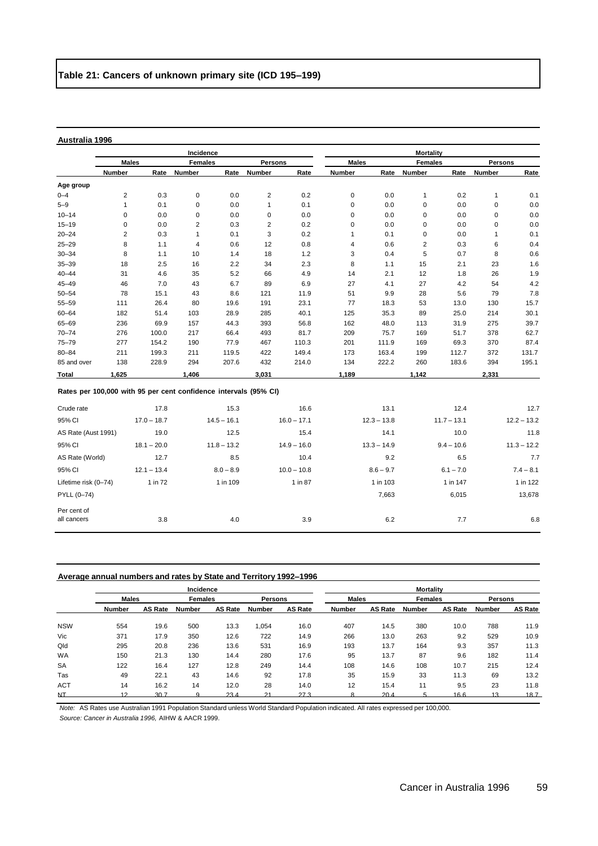|             |                                                                  |             | Incidence      |             |                |             |               |             | <b>Mortality</b> |             |                |             |
|-------------|------------------------------------------------------------------|-------------|----------------|-------------|----------------|-------------|---------------|-------------|------------------|-------------|----------------|-------------|
|             | <b>Males</b>                                                     |             | <b>Females</b> |             | <b>Persons</b> |             | <b>Males</b>  |             | <b>Females</b>   |             | <b>Persons</b> |             |
|             | <b>Number</b>                                                    | Rate        | Number         | Rate        | Number         | Rate        | <b>Number</b> | Rate        | Number           | Rate        | Number         | Rate        |
| Age group   |                                                                  |             |                |             |                |             |               |             |                  |             |                |             |
| $0 - 4$     | $\overline{2}$                                                   | 0.3         | 0              | 0.0         | $\overline{c}$ | 0.2         | 0             | 0.0         | 1                | 0.2         | 1              | 0.1         |
| $5 - 9$     | 1                                                                | 0.1         | 0              | 0.0         | 1              | 0.1         | 0             | 0.0         | 0                | 0.0         | 0              | 0.0         |
| $10 - 14$   | 0                                                                | 0.0         | 0              | 0.0         | 0              | 0.0         | 0             | 0.0         | 0                | 0.0         | 0              | 0.0         |
| $15 - 19$   | 0                                                                | 0.0         | 2              | 0.3         | 2              | 0.2         | 0             | 0.0         | 0                | 0.0         | 0              | 0.0         |
| $20 - 24$   | 2                                                                | 0.3         | 1              | 0.1         | 3              | 0.2         | 1             | 0.1         | 0                | 0.0         |                | 0.1         |
| $25 - 29$   | 8                                                                | 1.1         | 4              | 0.6         | 12             | 0.8         | 4             | 0.6         | 2                | 0.3         | 6              | 0.4         |
| $30 - 34$   | 8                                                                | 1.1         | 10             | 1.4         | 18             | 1.2         | 3             | 0.4         | 5                | 0.7         | 8              | 0.6         |
| $35 - 39$   | 18                                                               | 2.5         | 16             | 2.2         | 34             | 2.3         | 8             | 1.1         | 15               | 2.1         | 23             | 1.6         |
| $40 - 44$   | 31                                                               | 4.6         | 35             | 5.2         | 66             | 4.9         | 14            | 2.1         | 12               | 1.8         | 26             | 1.9         |
| $45 - 49$   | 46                                                               | 7.0         | 43             | 6.7         | 89             | 6.9         | 27            | 4.1         | 27               | 4.2         | 54             | 4.2         |
| $50 - 54$   | 78                                                               | 15.1        | 43             | 8.6         | 121            | 11.9        | 51            | 9.9         | 28               | 5.6         | 79             | 7.8         |
| $55 - 59$   | 111                                                              | 26.4        | 80             | 19.6        | 191            | 23.1        | 77            | 18.3        | 53               | 13.0        | 130            | 15.7        |
| $60 - 64$   | 182                                                              | 51.4        | 103            | 28.9        | 285            | 40.1        | 125           | 35.3        | 89               | 25.0        | 214            | 30.1        |
| $65 - 69$   | 236                                                              | 69.9        | 157            | 44.3        | 393            | 56.8        | 162           | 48.0        | 113              | 31.9        | 275            | 39.7        |
| $70 - 74$   | 276                                                              | 100.0       | 217            | 66.4        | 493            | 81.7        | 209           | 75.7        | 169              | 51.7        | 378            | 62.7        |
| $75 - 79$   | 277                                                              | 154.2       | 190            | 77.9        | 467            | 110.3       | 201           | 111.9       | 169              | 69.3        | 370            | 87.4        |
| $80 - 84$   | 211                                                              | 199.3       | 211            | 119.5       | 422            | 149.4       | 173           | 163.4       | 199              | 112.7       | 372            | 131.7       |
| 85 and over | 138                                                              | 228.9       | 294            | 207.6       | 432            | 214.0       | 134           | 222.2       | 260              | 183.6       | 394            | 195.1       |
| Total       | 1,625                                                            |             | 1,406          |             | 3,031          |             | 1,189         |             | 1,142            |             | 2,331          |             |
|             | Rates per 100,000 with 95 per cent confidence intervals (95% CI) |             |                |             |                |             |               |             |                  |             |                |             |
| Crude rate  |                                                                  | 17.8        |                | 15.3        |                | 16.6        |               | 13.1        |                  | 12.4        |                | 12.7        |
| 95% CL      |                                                                  | $170 - 187$ |                | $145 - 161$ |                | $160 - 171$ |               | $123 - 138$ |                  | $117 - 131$ |                | $122 - 132$ |

| 95% CI               | $17.0 - 18.7$ | $14.5 - 16.1$ | $16.0 - 17.1$ | $12.3 - 13.8$ | $11.7 - 13.1$ | $12.2 - 13.2$ |
|----------------------|---------------|---------------|---------------|---------------|---------------|---------------|
| AS Rate (Aust 1991)  | 19.0          | 12.5          | 15.4          | 14.1          | 10.0          | 11.8          |
| 95% CI               | $18.1 - 20.0$ | $11.8 - 13.2$ | $14.9 - 16.0$ | $13.3 - 14.9$ | $9.4 - 10.6$  | $11.3 - 12.2$ |
| AS Rate (World)      | 12.7          | 8.5           | 10.4          | 9.2           | 6.5           | 7.7           |
| 95% CI               | $12.1 - 13.4$ | $8.0 - 8.9$   | $10.0 - 10.8$ | $8.6 - 9.7$   | $6.1 - 7.0$   | $7.4 - 8.1$   |
| Lifetime risk (0-74) | 1 in 72       | 1 in 109      | 1 in 87       | 1 in 103      | 1 in 147      | 1 in 122      |
| PYLL (0-74)          |               |               |               | 7,663         | 6,015         | 13,678        |
| Per cent of          |               |               |               |               |               |               |
| all cancers          | 3.8           | 4.0           | 3.9           | 6.2           | 7.7           | 6.8           |
|                      |               |               |               |               |               |               |

# **Average annual numbers and rates by State and Territory 1992–1996**

|              |               |                | Incidence      |                 |                |                | <b>Mortality</b> |                |                |                |               |                |  |
|--------------|---------------|----------------|----------------|-----------------|----------------|----------------|------------------|----------------|----------------|----------------|---------------|----------------|--|
|              | <b>Males</b>  |                | <b>Females</b> |                 | <b>Persons</b> |                | <b>Males</b>     |                | <b>Females</b> |                | Persons       |                |  |
|              | <b>Number</b> | <b>AS Rate</b> | Number         | <b>AS Rate</b>  | <b>Number</b>  | <b>AS Rate</b> | Number           | <b>AS Rate</b> | <b>Number</b>  | <b>AS Rate</b> | <b>Number</b> | <b>AS Rate</b> |  |
| <b>NSW</b>   | 554           | 19.6           | 500            | 13.3            | 1.054          | 16.0           | 407              | 14.5           | 380            | 10.0           | 788           | 11.9           |  |
| Vic          | 371           | 17.9           | 350            | 12.6            | 722            | 14.9           | 266              | 13.0           | 263            | 9.2            | 529           | 10.9           |  |
| Qld          | 295           | 20.8           | 236            | 13.6            | 531            | 16.9           | 193              | 13.7           | 164            | 9.3            | 357           | 11.3           |  |
| <b>WA</b>    | 150           | 21.3           | 130            | 14.4            | 280            | 17.6           | 95               | 13.7           | 87             | 9.6            | 182           | 11.4           |  |
| <b>SA</b>    | 122           | 16.4           | 127            | 12.8            | 249            | 14.4           | 108              | 14.6           | 108            | 10.7           | 215           | 12.4           |  |
| Tas          | 49            | 22.1           | 43             | 14.6            | 92             | 17.8           | 35               | 15.9           | 33             | 11.3           | 69            | 13.2           |  |
| <b>ACT</b>   | 14            | 16.2           | 14             | 12.0            | 28             | 14.0           | 12               | 15.4           | 11             | 9.5            | 23            | 11.8           |  |
| $\mathbf{h}$ | 12            | 30.7           |                | 23 <sub>4</sub> | 21             | 273            |                  | $20\Delta$     |                | 166            | 12            | 18.7           |  |

*Note:* AS Rates use Australian 1991 Population Standard unless World Standard Population indicated. All rates expressed per 100,000.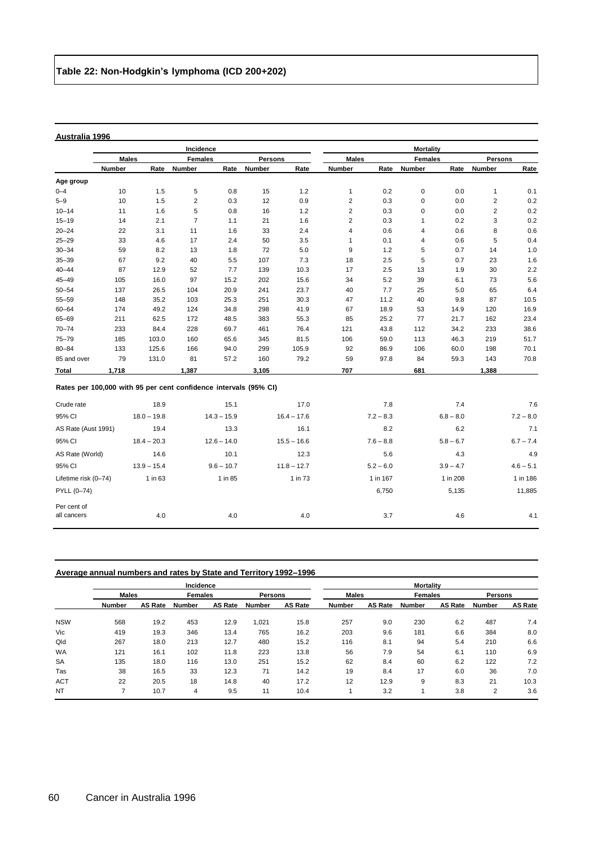|                                                                  |              |               | Incidence               |               |                |               |                         |             | <b>Mortality</b> |             |                         |             |
|------------------------------------------------------------------|--------------|---------------|-------------------------|---------------|----------------|---------------|-------------------------|-------------|------------------|-------------|-------------------------|-------------|
|                                                                  | <b>Males</b> |               | <b>Females</b>          |               | <b>Persons</b> |               | <b>Males</b>            |             | <b>Females</b>   |             | <b>Persons</b>          |             |
|                                                                  | Number       | Rate          | <b>Number</b>           | Rate          | Number         | Rate          | Number                  | Rate        | Number           | Rate        | Number                  | Rate        |
| Age group                                                        |              |               |                         |               |                |               |                         |             |                  |             |                         |             |
| $0 - 4$                                                          | 10           | 1.5           | 5                       | 0.8           | 15             | 1.2           | $\mathbf{1}$            | 0.2         | $\mathsf 0$      | 0.0         | $\mathbf{1}$            | 0.1         |
| $5 - 9$                                                          | 10           | 1.5           | $\overline{\mathbf{c}}$ | 0.3           | 12             | 0.9           | $\overline{\mathbf{c}}$ | 0.3         | $\mathsf 0$      | 0.0         | $\overline{\mathbf{c}}$ | 0.2         |
| $10 - 14$                                                        | 11           | 1.6           | 5                       | 0.8           | 16             | 1.2           | $\overline{\mathbf{c}}$ | 0.3         | $\mathbf 0$      | 0.0         | $\overline{\mathbf{c}}$ | 0.2         |
| $15 - 19$                                                        | 14           | 2.1           | $\overline{7}$          | 1.1           | 21             | 1.6           | $\overline{\mathbf{c}}$ | 0.3         | $\mathbf{1}$     | 0.2         | 3                       | 0.2         |
| $20 - 24$                                                        | 22           | 3.1           | 11                      | 1.6           | 33             | 2.4           | $\overline{\mathbf{4}}$ | 0.6         | 4                | 0.6         | 8                       | 0.6         |
| $25 - 29$                                                        | 33           | 4.6           | 17                      | 2.4           | 50             | 3.5           | $\mathbf{1}$            | 0.1         | 4                | 0.6         | 5                       | 0.4         |
| $30 - 34$                                                        | 59           | 8.2           | 13                      | 1.8           | 72             | 5.0           | 9                       | 1.2         | 5                | 0.7         | 14                      | 1.0         |
| $35 - 39$                                                        | 67           | 9.2           | 40                      | 5.5           | 107            | 7.3           | 18                      | 2.5         | 5                | 0.7         | 23                      | 1.6         |
| $40 - 44$                                                        | 87           | 12.9          | 52                      | 7.7           | 139            | 10.3          | 17                      | 2.5         | 13               | 1.9         | 30                      | 2.2         |
| $45 - 49$                                                        | 105          | 16.0          | 97                      | 15.2          | 202            | 15.6          | 34                      | 5.2         | 39               | 6.1         | 73                      | 5.6         |
| $50 - 54$                                                        | 137          | 26.5          | 104                     | 20.9          | 241            | 23.7          | 40                      | 7.7         | 25               | 5.0         | 65                      | 6.4         |
| $55 - 59$                                                        | 148          | 35.2          | 103                     | 25.3          | 251            | 30.3          | 47                      | 11.2        | 40               | 9.8         | 87                      | 10.5        |
| $60 - 64$                                                        | 174          | 49.2          | 124                     | 34.8          | 298            | 41.9          | 67                      | 18.9        | 53               | 14.9        | 120                     | 16.9        |
| 65-69                                                            | 211          | 62.5          | 172                     | 48.5          | 383            | 55.3          | 85                      | 25.2        | 77               | 21.7        | 162                     | 23.4        |
| $70 - 74$                                                        | 233          | 84.4          | 228                     | 69.7          | 461            | 76.4          | 121                     | 43.8        | 112              | 34.2        | 233                     | 38.6        |
| 75-79                                                            | 185          | 103.0         | 160                     | 65.6          | 345            | 81.5          | 106                     | 59.0        | 113              | 46.3        | 219                     | 51.7        |
| $80 - 84$                                                        | 133          | 125.6         | 166                     | 94.0          | 299            | 105.9         | 92                      | 86.9        | 106              | 60.0        | 198                     | 70.1        |
| 85 and over                                                      | 79           | 131.0         | 81                      | 57.2          | 160            | 79.2          | 59                      | 97.8        | 84               | 59.3        | 143                     | 70.8        |
| Total                                                            | 1,718        |               | 1,387                   |               | 3,105          |               | 707                     |             | 681              |             | 1,388                   |             |
| Rates per 100,000 with 95 per cent confidence intervals (95% CI) |              |               |                         |               |                |               |                         |             |                  |             |                         |             |
| Crude rate                                                       |              | 18.9          |                         | 15.1          |                | 17.0          |                         | 7.8         |                  | 7.4         |                         | 7.6         |
| 95% CI                                                           |              | $18.0 - 19.8$ |                         | $14.3 - 15.9$ |                | $16.4 - 17.6$ |                         | $7.2 - 8.3$ |                  | $6.8 - 8.0$ |                         | $7.2 - 8.0$ |
| AS Rate (Aust 1991)                                              |              | 19.4          |                         | 13.3          |                | 16.1          |                         | 8.2         |                  | 6.2         |                         | 7.1         |
| 95% CI                                                           |              | $18.4 - 20.3$ |                         | $12.6 - 14.0$ |                | $15.5 - 16.6$ |                         | $7.6 - 8.8$ |                  | $5.8 - 6.7$ |                         | $6.7 - 7.4$ |
| AS Rate (World)                                                  |              | 14.6          |                         | 10.1          |                | 12.3          |                         | 5.6         |                  | 4.3         |                         | 4.9         |
| 95% CI                                                           |              | $13.9 - 15.4$ |                         | $9.6 - 10.7$  |                | $11.8 - 12.7$ |                         | $5.2 - 6.0$ |                  | $3.9 - 4.7$ |                         | $4.6 - 5.1$ |
| Lifetime risk (0-74)                                             |              | 1 in 63       |                         | 1 in 85       |                | 1 in 73       |                         | 1 in 167    |                  | 1 in 208    |                         | 1 in 186    |
| PYLL (0-74)                                                      |              |               |                         |               |                |               |                         | 6,750       |                  | 5,135       |                         | 11,885      |
| Per cent of<br>all cancers                                       |              | 4.0           |                         | 4.0           |                | 4.0           |                         | 3.7         |                  | 4.6         |                         | 4.1         |

| Average annual numbers and rates by State and Territory 1992–1996 |  |
|-------------------------------------------------------------------|--|
|                                                                   |  |

|            |               |         | Incidence      |                |                |                | <b>Mortality</b> |                |                |                |               |                |  |
|------------|---------------|---------|----------------|----------------|----------------|----------------|------------------|----------------|----------------|----------------|---------------|----------------|--|
|            | <b>Males</b>  |         | <b>Females</b> |                | <b>Persons</b> |                | <b>Males</b>     |                | <b>Females</b> |                | Persons       |                |  |
|            | <b>Number</b> | AS Rate | Number         | <b>AS Rate</b> | Number         | <b>AS Rate</b> | <b>Number</b>    | <b>AS Rate</b> | Number         | <b>AS Rate</b> | <b>Number</b> | <b>AS Rate</b> |  |
| <b>NSW</b> | 568           | 19.2    | 453            | 12.9           | 1.021          | 15.8           | 257              | 9.0            | 230            | 6.2            | 487           | 7.4            |  |
| Vic        | 419           | 19.3    | 346            | 13.4           | 765            | 16.2           | 203              | 9.6            | 181            | 6.6            | 384           | 8.0            |  |
| Qld        | 267           | 18.0    | 213            | 12.7           | 480            | 15.2           | 116              | 8.1            | 94             | 5.4            | 210           | 6.6            |  |
| <b>WA</b>  | 121           | 16.1    | 102            | 11.8           | 223            | 13.8           | 56               | 7.9            | 54             | 6.1            | 110           | 6.9            |  |
| <b>SA</b>  | 135           | 18.0    | 116            | 13.0           | 251            | 15.2           | 62               | 8.4            | 60             | 6.2            | 122           | 7.2            |  |
| Tas        | 38            | 16.5    | 33             | 12.3           | 71             | 14.2           | 19               | 8.4            | 17             | 6.0            | 36            | 7.0            |  |
| <b>ACT</b> | 22            | 20.5    | 18             | 14.8           | 40             | 17.2           | 12               | 12.9           | 9              | 8.3            | 21            | 10.3           |  |
| <b>NT</b>  | ⇁             | 10.7    | 4              | 9.5            | 11             | 10.4           |                  | 3.2            |                | 3.8            | 2             | 3.6            |  |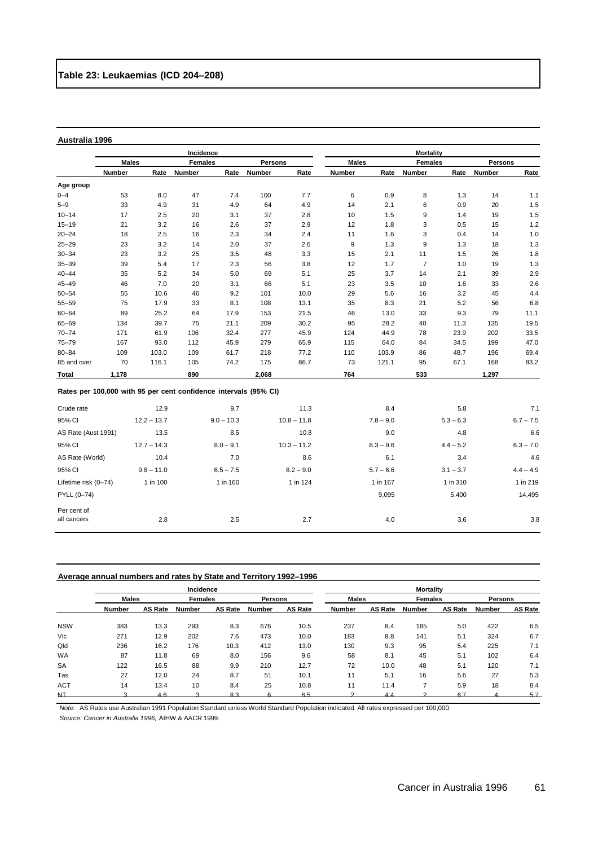|              |                                                                  |               | Incidence      |              |                |               |              |             | <b>Mortality</b> |             |                |             |
|--------------|------------------------------------------------------------------|---------------|----------------|--------------|----------------|---------------|--------------|-------------|------------------|-------------|----------------|-------------|
|              | <b>Males</b>                                                     |               | <b>Females</b> |              | <b>Persons</b> |               | <b>Males</b> |             | <b>Females</b>   |             | <b>Persons</b> |             |
|              | Number                                                           | Rate          | Number         | Rate         | <b>Number</b>  | Rate          | Number       | Rate        | Number           | Rate        | Number         | Rate        |
| Age group    |                                                                  |               |                |              |                |               |              |             |                  |             |                |             |
| $0 - 4$      | 53                                                               | 8.0           | 47             | 7.4          | 100            | 7.7           | 6            | 0.9         | 8                | 1.3         | 14             | 1.1         |
| $5 - 9$      | 33                                                               | 4.9           | 31             | 4.9          | 64             | 4.9           | 14           | 2.1         | 6                | 0.9         | 20             | 1.5         |
| $10 - 14$    | 17                                                               | 2.5           | 20             | 3.1          | 37             | 2.8           | 10           | 1.5         | 9                | 1.4         | 19             | 1.5         |
| $15 - 19$    | 21                                                               | 3.2           | 16             | 2.6          | 37             | 2.9           | 12           | 1.8         | 3                | 0.5         | 15             | 1.2         |
| $20 - 24$    | 18                                                               | 2.5           | 16             | 2.3          | 34             | 2.4           | 11           | 1.6         | 3                | 0.4         | 14             | 1.0         |
| $25 - 29$    | 23                                                               | 3.2           | 14             | 2.0          | 37             | 2.6           | 9            | 1.3         | 9                | 1.3         | 18             | 1.3         |
| $30 - 34$    | 23                                                               | 3.2           | 25             | 3.5          | 48             | 3.3           | 15           | 2.1         | 11               | 1.5         | 26             | 1.8         |
| $35 - 39$    | 39                                                               | 5.4           | 17             | 2.3          | 56             | 3.8           | 12           | 1.7         | $\overline{7}$   | 1.0         | 19             | 1.3         |
| $40 - 44$    | 35                                                               | 5.2           | 34             | 5.0          | 69             | 5.1           | 25           | 3.7         | 14               | 2.1         | 39             | 2.9         |
| $45 - 49$    | 46                                                               | 7.0           | 20             | 3.1          | 66             | 5.1           | 23           | 3.5         | 10               | 1.6         | 33             | 2.6         |
| $50 - 54$    | 55                                                               | 10.6          | 46             | 9.2          | 101            | 10.0          | 29           | 5.6         | 16               | 3.2         | 45             | 4.4         |
| $55 - 59$    | 75                                                               | 17.9          | 33             | 8.1          | 108            | 13.1          | 35           | 8.3         | 21               | 5.2         | 56             | 6.8         |
| $60 - 64$    | 89                                                               | 25.2          | 64             | 17.9         | 153            | 21.5          | 46           | 13.0        | 33               | 9.3         | 79             | 11.1        |
| 65-69        | 134                                                              | 39.7          | 75             | 21.1         | 209            | 30.2          | 95           | 28.2        | 40               | 11.3        | 135            | 19.5        |
| $70 - 74$    | 171                                                              | 61.9          | 106            | 32.4         | 277            | 45.9          | 124          | 44.9        | 78               | 23.9        | 202            | 33.5        |
| $75 - 79$    | 167                                                              | 93.0          | 112            | 45.9         | 279            | 65.9          | 115          | 64.0        | 84               | 34.5        | 199            | 47.0        |
| $80 - 84$    | 109                                                              | 103.0         | 109            | 61.7         | 218            | 77.2          | 110          | 103.9       | 86               | 48.7        | 196            | 69.4        |
| 85 and over  | 70                                                               | 116.1         | 105            | 74.2         | 175            | 86.7          | 73           | 121.1       | 95               | 67.1        | 168            | 83.2        |
| <b>Total</b> | 1,178                                                            |               | 890            |              | 2,068          |               | 764          |             | 533              |             | 1,297          |             |
|              | Rates per 100,000 with 95 per cent confidence intervals (95% CI) |               |                |              |                |               |              |             |                  |             |                |             |
| Crude rate   |                                                                  | 12.9          |                | 9.7          |                | 11.3          |              | 8.4         |                  | 5.8         |                | 7.1         |
| 95% CI       |                                                                  | $12.2 - 13.7$ |                | $9.0 - 10.3$ |                | $10.8 - 11.8$ |              | $7.8 - 9.0$ |                  | $5.3 - 6.3$ |                | $6.7 - 7.5$ |

| AS Rate (Aust 1991)  | 13.5          | 8.5         | 10.8          | 9.0         | 4.8         | 6.6         |
|----------------------|---------------|-------------|---------------|-------------|-------------|-------------|
| 95% CI               | $12.7 - 14.3$ | $8.0 - 9.1$ | $10.3 - 11.2$ | $8.3 - 9.6$ | $4.4 - 5.2$ | $6.3 - 7.0$ |
| AS Rate (World)      | 10.4          | 7.0         | 8.6           | 6.1         | 3.4         | 4.6         |
| 95% CI               | $9.8 - 11.0$  | $6.5 - 7.5$ | $8.2 - 9.0$   | $5.7 - 6.6$ | $3.1 - 3.7$ | $4.4 - 4.9$ |
| Lifetime risk (0-74) | 1 in 100      | 1 in 160    | 1 in 124      | 1 in 167    | 1 in 310    | 1 in 219    |
| PYLL (0-74)          |               |             |               | 9,095       | 5,400       | 14,495      |
| Per cent of          |               |             |               |             |             |             |
| all cancers          | 2.8           | 2.5         | 2.7           | 4.0         | 3.6         | 3.8         |
|                      |               |             |               |             |             |             |

# **Average annual numbers and rates by State and Territory 1992–1996**

|            |               |                | Incidence      |                |                | <b>Mortality</b> |              |                |                |                |                |                |
|------------|---------------|----------------|----------------|----------------|----------------|------------------|--------------|----------------|----------------|----------------|----------------|----------------|
|            | <b>Males</b>  |                | <b>Females</b> |                | <b>Persons</b> |                  | <b>Males</b> |                | <b>Females</b> |                | <b>Persons</b> |                |
|            | <b>Number</b> | <b>AS Rate</b> | Number         | <b>AS Rate</b> | <b>Number</b>  | <b>AS Rate</b>   | Number       | <b>AS Rate</b> | <b>Number</b>  | <b>AS Rate</b> | Number         | <b>AS Rate</b> |
| <b>NSW</b> | 383           | 13.3           | 293            | 8.3            | 676            | 10.5             | 237          | 8.4            | 185            | 5.0            | 422            | 6.5            |
| Vic        | 271           | 12.9           | 202            | 7.6            | 473            | 10.0             | 183          | 8.8            | 141            | 5.1            | 324            | 6.7            |
| Qld        | 236           | 16.2           | 176            | 10.3           | 412            | 13.0             | 130          | 9.3            | 95             | 5.4            | 225            | 7.1            |
| <b>WA</b>  | 87            | 11.8           | 69             | 8.0            | 156            | 9.6              | 58           | 8.1            | 45             | 5.1            | 102            | 6.4            |
| <b>SA</b>  | 122           | 16.5           | 88             | 9.9            | 210            | 12.7             | 72           | 10.0           | 48             | 5.1            | 120            | 7.1            |
| Tas        | 27            | 12.0           | 24             | 8.7            | 51             | 10.1             | 11           | 5.1            | 16             | 5.6            | 27             | 5.3            |
| <b>ACT</b> | 14            | 13.4           | 10             | 8.4            | 25             | 10.8             | 11           | 11.4           |                | 5.9            | 18             | 8.4            |
| NТ         |               | 4 R            |                | R 3            |                | 65               |              |                |                | 67             |                | 57             |

*Note:* AS Rates use Australian 1991 Population Standard unless World Standard Population indicated. All rates expressed per 100,000.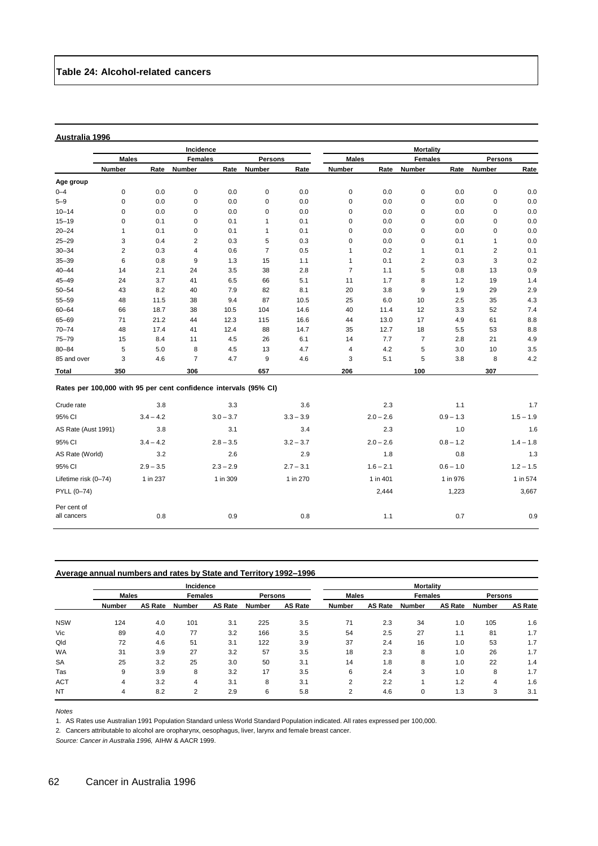|                                                                  |                |             | Incidence               |             |                | <b>Mortality</b> |                |              |                |             |                         |             |
|------------------------------------------------------------------|----------------|-------------|-------------------------|-------------|----------------|------------------|----------------|--------------|----------------|-------------|-------------------------|-------------|
|                                                                  | <b>Males</b>   |             | <b>Females</b>          |             |                | <b>Persons</b>   |                | <b>Males</b> | <b>Females</b> |             | Persons                 |             |
|                                                                  | Number         | Rate        | Number                  | Rate        | Number         | Rate             | Number         | Rate         | Number         | Rate        | <b>Number</b>           | Rate        |
| Age group                                                        |                |             |                         |             |                |                  |                |              |                |             |                         |             |
| $0 - 4$                                                          | 0              | 0.0         | 0                       | 0.0         | $\mathbf 0$    | 0.0              | 0              | 0.0          | $\mathbf 0$    | 0.0         | $\mathbf 0$             | 0.0         |
| $5 - 9$                                                          | 0              | 0.0         | $\mathbf 0$             | 0.0         | 0              | 0.0              | 0              | 0.0          | $\mathbf 0$    | 0.0         | 0                       | 0.0         |
| $10 - 14$                                                        | $\mathbf 0$    | 0.0         | 0                       | 0.0         | 0              | 0.0              | 0              | 0.0          | 0              | 0.0         | 0                       | 0.0         |
| $15 - 19$                                                        | 0              | 0.1         | $\mathsf 0$             | 0.1         | $\mathbf{1}$   | 0.1              | 0              | 0.0          | 0              | 0.0         | $\mathbf 0$             | 0.0         |
| $20 - 24$                                                        | $\mathbf{1}$   | 0.1         | $\mathbf 0$             | 0.1         | $\mathbf{1}$   | 0.1              | 0              | 0.0          | $\mathbf 0$    | 0.0         | 0                       | 0.0         |
| $25 - 29$                                                        | 3              | 0.4         | $\overline{\mathbf{c}}$ | 0.3         | 5              | 0.3              | $\pmb{0}$      | 0.0          | $\mathbf 0$    | 0.1         | $\mathbf{1}$            | 0.0         |
| $30 - 34$                                                        | $\overline{c}$ | 0.3         | 4                       | 0.6         | $\overline{7}$ | 0.5              | $\mathbf{1}$   | 0.2          | $\mathbf{1}$   | 0.1         | $\overline{\mathbf{c}}$ | 0.1         |
| $35 - 39$                                                        | 6              | 0.8         | 9                       | 1.3         | 15             | 1.1              | $\mathbf{1}$   | 0.1          | 2              | 0.3         | 3                       | 0.2         |
| $40 - 44$                                                        | 14             | 2.1         | 24                      | 3.5         | 38             | 2.8              | $\overline{7}$ | 1.1          | 5              | 0.8         | 13                      | 0.9         |
| $45 - 49$                                                        | 24             | 3.7         | 41                      | 6.5         | 66             | 5.1              | 11             | 1.7          | 8              | 1.2         | 19                      | 1.4         |
| $50 - 54$                                                        | 43             | 8.2         | 40                      | 7.9         | 82             | 8.1              | 20             | 3.8          | 9              | 1.9         | 29                      | 2.9         |
| 55-59                                                            | 48             | 11.5        | 38                      | 9.4         | 87             | 10.5             | 25             | 6.0          | 10             | 2.5         | 35                      | 4.3         |
| $60 - 64$                                                        | 66             | 18.7        | 38                      | 10.5        | 104            | 14.6             | 40             | 11.4         | 12             | 3.3         | 52                      | 7.4         |
| 65-69                                                            | 71             | 21.2        | 44                      | 12.3        | 115            | 16.6             | 44             | 13.0         | 17             | 4.9         | 61                      | 8.8         |
| $70 - 74$                                                        | 48             | 17.4        | 41                      | 12.4        | 88             | 14.7             | 35             | 12.7         | 18             | 5.5         | 53                      | 8.8         |
| $75 - 79$                                                        | 15             | 8.4         | 11                      | 4.5         | 26             | 6.1              | 14             | 7.7          | $\overline{7}$ | 2.8         | 21                      | 4.9         |
| $80 - 84$                                                        | 5              | 5.0         | 8                       | 4.5         | 13             | 4.7              | 4              | 4.2          | 5              | 3.0         | 10                      | 3.5         |
| 85 and over                                                      | 3              | 4.6         | $\overline{7}$          | 4.7         | 9              | 4.6              | 3              | 5.1          | 5              | 3.8         | 8                       | 4.2         |
| Total                                                            | 350            |             | 306                     |             | 657            |                  | 206            |              | 100            |             | 307                     |             |
| Rates per 100,000 with 95 per cent confidence intervals (95% CI) |                |             |                         |             |                |                  |                |              |                |             |                         |             |
| Crude rate                                                       |                | 3.8         |                         | 3.3         |                | 3.6              |                | 2.3          |                | 1.1         |                         | 1.7         |
| 95% CI                                                           |                | $3.4 - 4.2$ |                         | $3.0 - 3.7$ |                | $3.3 - 3.9$      |                | $2.0 - 2.6$  |                | $0.9 - 1.3$ |                         | $1.5 - 1.9$ |
| AS Rate (Aust 1991)                                              |                | 3.8         |                         | 3.1         |                | 3.4              |                | 2.3          |                | 1.0         |                         | 1.6         |
| 95% CI                                                           |                | $3.4 - 4.2$ |                         | $2.8 - 3.5$ |                | $3.2 - 3.7$      |                | $2.0 - 2.6$  |                | $0.8 - 1.2$ |                         | $1.4 - 1.8$ |
| AS Rate (World)                                                  |                | 3.2         |                         | 2.6         |                | 2.9              |                | 1.8          |                | 0.8         |                         | 1.3         |
| 95% CI                                                           |                | $2.9 - 3.5$ |                         | $2.3 - 2.9$ |                | $2.7 - 3.1$      |                | $1.6 - 2.1$  |                | $0.6 - 1.0$ |                         | $1.2 - 1.5$ |
| Lifetime risk (0-74)                                             |                | 1 in 237    |                         | 1 in 309    |                | 1 in 270         |                | 1 in 401     |                | 1 in 976    |                         | 1 in 574    |
| PYLL (0-74)                                                      |                |             |                         |             |                |                  |                | 2,444        |                | 1,223       |                         | 3,667       |
| Per cent of<br>all cancers                                       |                | 0.8         |                         | 0.9         |                | 0.8              |                | 1.1          |                | 0.7         |                         | 0.9         |

# **Average annual numbers and rates by State and Territory 1992–1996**

|            |               |         | Incidence      |                |                | <b>Mortality</b> |               |                |                |                |         |                |
|------------|---------------|---------|----------------|----------------|----------------|------------------|---------------|----------------|----------------|----------------|---------|----------------|
|            | <b>Males</b>  |         | <b>Females</b> |                | <b>Persons</b> |                  | <b>Males</b>  |                | <b>Females</b> |                | Persons |                |
|            | <b>Number</b> | AS Rate | Number         | <b>AS Rate</b> | Number         | <b>AS Rate</b>   | <b>Number</b> | <b>AS Rate</b> | Number         | <b>AS Rate</b> | Number  | <b>AS Rate</b> |
| <b>NSW</b> | 124           | 4.0     | 101            | 3.1            | 225            | 3.5              | 71            | 2.3            | 34             | 1.0            | 105     | 1.6            |
| Vic        | 89            | 4.0     | 77             | 3.2            | 166            | 3.5              | 54            | 2.5            | 27             | 1.1            | 81      | 1.7            |
| Qld        | 72            | 4.6     | 51             | 3.1            | 122            | 3.9              | 37            | 2.4            | 16             | 1.0            | 53      | 1.7            |
| <b>WA</b>  | 31            | 3.9     | 27             | 3.2            | 57             | 3.5              | 18            | 2.3            | 8              | 1.0            | 26      | 1.7            |
| <b>SA</b>  | 25            | 3.2     | 25             | 3.0            | 50             | 3.1              | 14            | 1.8            | 8              | 1.0            | 22      | 1.4            |
| Tas        | 9             | 3.9     | 8              | 3.2            | 17             | 3.5              | 6             | 2.4            | 3              | 1.0            | 8       | 1.7            |
| <b>ACT</b> | 4             | 3.2     | 4              | 3.1            | 8              | 3.1              | 2             | 2.2            |                | 1.2            | 4       | 1.6            |
| <b>NT</b>  | 4             | 8.2     | 2              | 2.9            | 6              | 5.8              | 2             | 4.6            |                | 1.3            | 3       | 3.1            |

*Notes*

1. AS Rates use Australian 1991 Population Standard unless World Standard Population indicated. All rates expressed per 100,000.

2*.* Cancers attributable to alcohol are oropharynx, oesophagus, liver, larynx and female breast cancer.